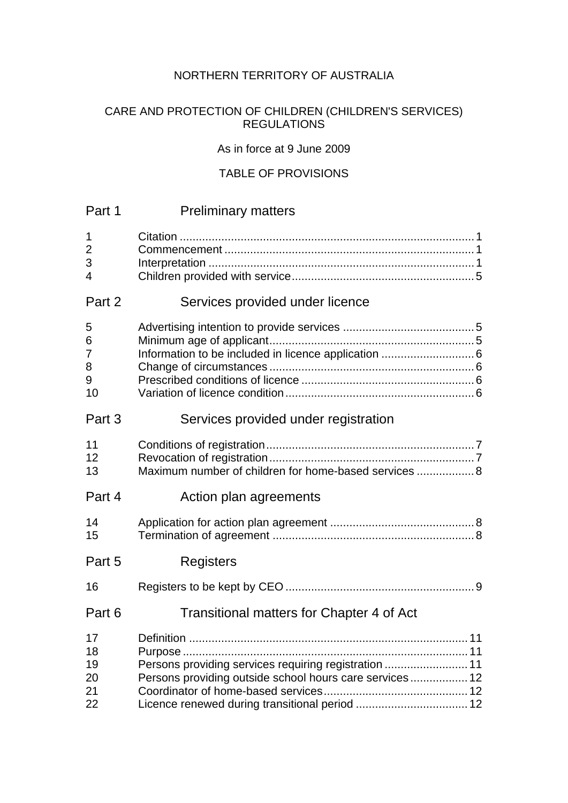# NORTHERN TERRITORY OF AUSTRALIA

# CARE AND PROTECTION OF CHILDREN (CHILDREN'S SERVICES) REGULATIONS

### As in force at 9 June 2009

# TABLE OF PROVISIONS

| Part 1                           | <b>Preliminary matters</b>                                                                                                                                               |
|----------------------------------|--------------------------------------------------------------------------------------------------------------------------------------------------------------------------|
| 1<br>$\overline{2}$<br>3<br>4    |                                                                                                                                                                          |
| Part 2                           | Services provided under licence                                                                                                                                          |
| 5<br>6<br>7<br>8<br>9<br>10      | Information to be included in licence application  6                                                                                                                     |
| Part 3                           | Services provided under registration                                                                                                                                     |
| 11<br>12<br>13                   | Maximum number of children for home-based services  8                                                                                                                    |
| Part 4                           | Action plan agreements                                                                                                                                                   |
| 14<br>15                         |                                                                                                                                                                          |
| Part 5                           | Registers                                                                                                                                                                |
| 16                               |                                                                                                                                                                          |
| Part 6                           | Transitional matters for Chapter 4 of Act                                                                                                                                |
| 17<br>18<br>19<br>20<br>21<br>22 | 11<br>Persons providing services requiring registration  11<br>Persons providing outside school hours care services 12<br>Licence renewed during transitional period  12 |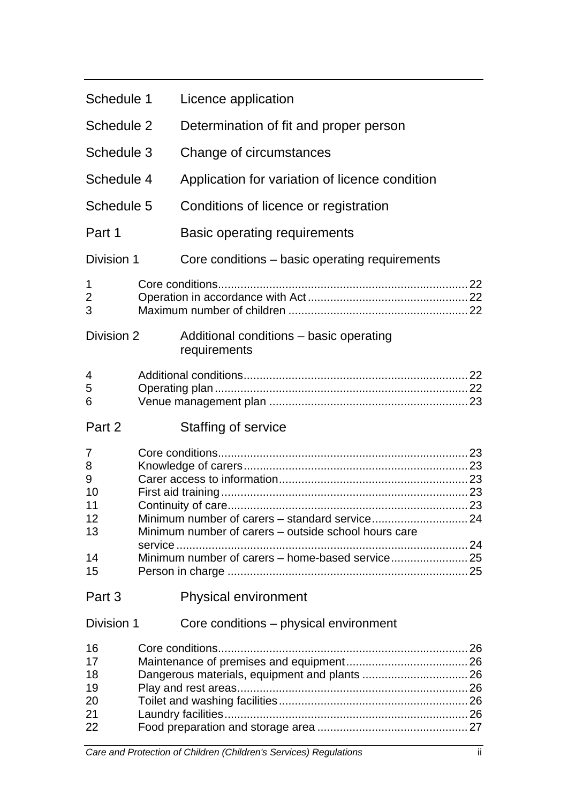| Schedule 1                                | Licence application                                     |  |
|-------------------------------------------|---------------------------------------------------------|--|
| Schedule 2                                | Determination of fit and proper person                  |  |
| Schedule 3                                | Change of circumstances                                 |  |
| Schedule 4                                | Application for variation of licence condition          |  |
| Schedule 5                                | Conditions of licence or registration                   |  |
| Part 1                                    | <b>Basic operating requirements</b>                     |  |
| Division 1                                | Core conditions - basic operating requirements          |  |
| 1<br>$\overline{c}$<br>3                  |                                                         |  |
| Division 2                                | Additional conditions – basic operating<br>requirements |  |
| 4<br>5<br>6                               |                                                         |  |
| Part 2                                    | Staffing of service                                     |  |
| 7<br>8<br>9<br>10<br>11<br>12<br>13<br>14 | Minimum number of carers – outside school hours care    |  |
| 15                                        |                                                         |  |
| Part 3                                    | <b>Physical environment</b>                             |  |
| Division 1                                | Core conditions – physical environment                  |  |
| 16<br>17<br>18<br>19<br>20<br>21<br>22    |                                                         |  |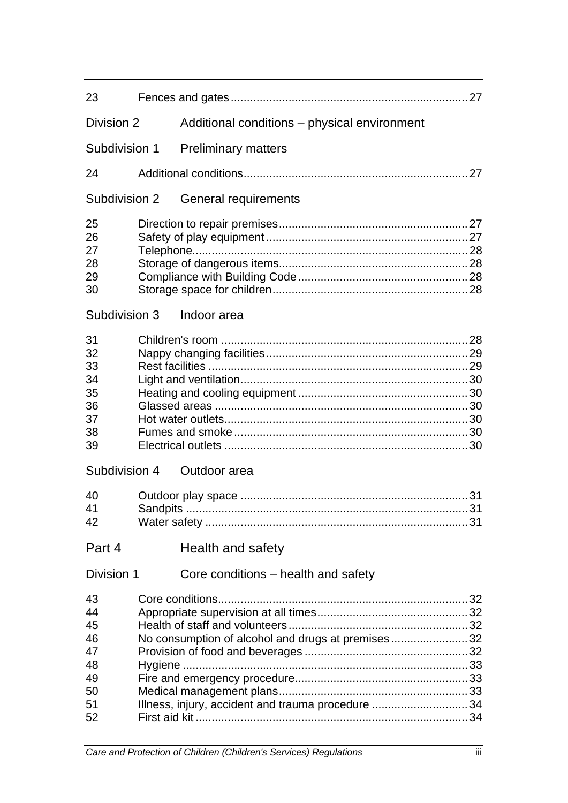| 23                                                       |                 |                                                                                                        |  |
|----------------------------------------------------------|-----------------|--------------------------------------------------------------------------------------------------------|--|
| Division 2                                               |                 | Additional conditions – physical environment                                                           |  |
| Subdivision 1                                            |                 | <b>Preliminary matters</b>                                                                             |  |
| 24                                                       |                 |                                                                                                        |  |
| Subdivision 2                                            |                 | General requirements                                                                                   |  |
| 25<br>26<br>27<br>28<br>29<br>30                         |                 |                                                                                                        |  |
| Subdivision 3                                            |                 | Indoor area                                                                                            |  |
| 31<br>32<br>33<br>34<br>35<br>36<br>37<br>38<br>39       |                 |                                                                                                        |  |
| Subdivision 4                                            |                 | Outdoor area                                                                                           |  |
| 40<br>41<br>42                                           | <b>Sandpits</b> |                                                                                                        |  |
| Part 4                                                   |                 | Health and safety                                                                                      |  |
| Division 1                                               |                 | Core conditions – health and safety                                                                    |  |
| 43<br>44<br>45<br>46<br>47<br>48<br>49<br>50<br>51<br>52 |                 | No consumption of alcohol and drugs at premises32<br>Illness, injury, accident and trauma procedure 34 |  |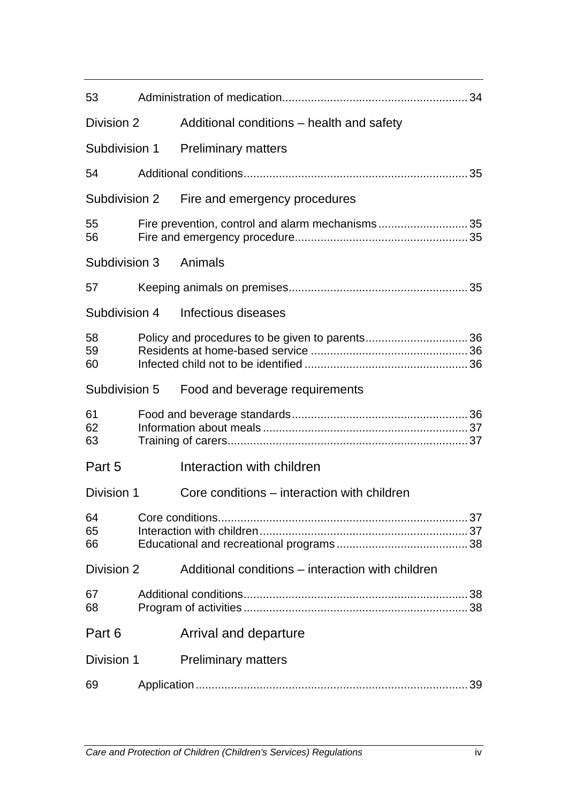| 53             |                                                   |  |
|----------------|---------------------------------------------------|--|
| Division 2     | Additional conditions – health and safety         |  |
| Subdivision 1  | <b>Preliminary matters</b>                        |  |
| 54             |                                                   |  |
| Subdivision 2  | Fire and emergency procedures                     |  |
| 55<br>56       | Fire prevention, control and alarm mechanisms35   |  |
| Subdivision 3  | Animals                                           |  |
| 57             |                                                   |  |
| Subdivision 4  | Infectious diseases                               |  |
| 58<br>59<br>60 |                                                   |  |
| Subdivision 5  | Food and beverage requirements                    |  |
| 61<br>62<br>63 |                                                   |  |
| Part 5         | Interaction with children                         |  |
| Division 1     | Core conditions – interaction with children       |  |
| 64<br>65<br>66 |                                                   |  |
| Division 2     | Additional conditions – interaction with children |  |
| 67<br>68       |                                                   |  |
| Part 6         | Arrival and departure                             |  |
| Division 1     | <b>Preliminary matters</b>                        |  |
| 69             |                                                   |  |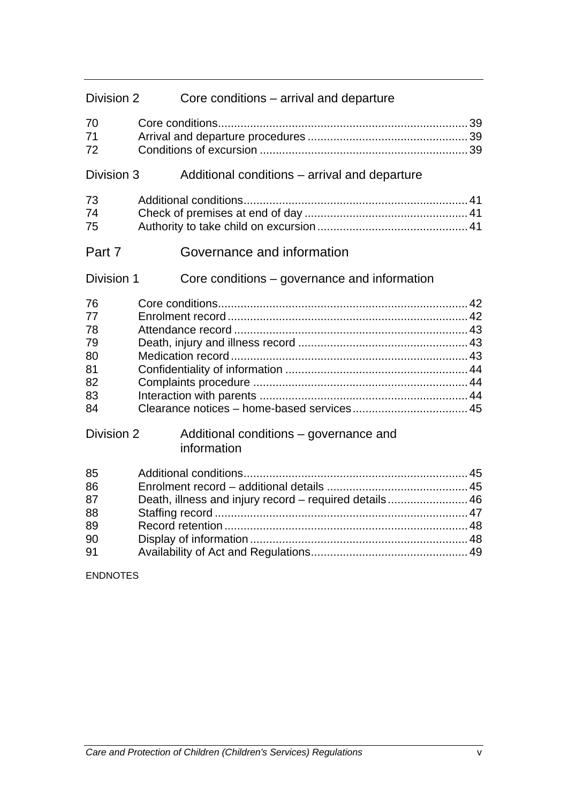| Division 2                                         | Core conditions – arrival and departure                |  |
|----------------------------------------------------|--------------------------------------------------------|--|
| 70<br>71<br>72                                     |                                                        |  |
| Division 3                                         | Additional conditions - arrival and departure          |  |
| 73<br>74<br>75                                     |                                                        |  |
| Part 7                                             | Governance and information                             |  |
| Division 1                                         | Core conditions – governance and information           |  |
| 76<br>77<br>78<br>79<br>80<br>81<br>82<br>83<br>84 |                                                        |  |
| Division 2                                         | Additional conditions – governance and<br>information  |  |
| 85<br>86<br>87<br>88<br>89<br>90<br>91             | Death, illness and injury record - required details 46 |  |

ENDNOTES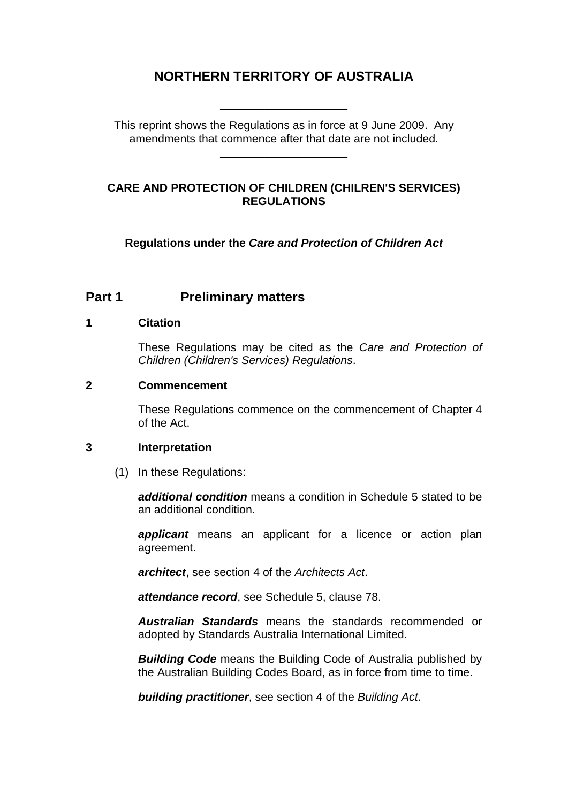# **NORTHERN TERRITORY OF AUSTRALIA**

\_\_\_\_\_\_\_\_\_\_\_\_\_\_\_\_\_\_\_\_

This reprint shows the Regulations as in force at 9 June 2009. Any amendments that commence after that date are not included.

\_\_\_\_\_\_\_\_\_\_\_\_\_\_\_\_\_\_\_\_

### **CARE AND PROTECTION OF CHILDREN (CHILREN'S SERVICES) REGULATIONS**

**Regulations under the** *Care and Protection of Children Act*

# **Part 1** Preliminary matters

### **1 Citation**

These Regulations may be cited as the *Care and Protection of Children (Children's Services) Regulations*.

### **2 Commencement**

These Regulations commence on the commencement of Chapter 4 of the Act.

#### **3 Interpretation**

(1) In these Regulations:

*additional condition* means a condition in Schedule 5 stated to be an additional condition.

*applicant* means an applicant for a licence or action plan agreement.

*architect*, see section 4 of the *Architects Act*.

*attendance record*, see Schedule 5, clause 78.

*Australian Standards* means the standards recommended or adopted by Standards Australia International Limited.

*Building Code* means the Building Code of Australia published by the Australian Building Codes Board, as in force from time to time.

*building practitioner*, see section 4 of the *Building Act*.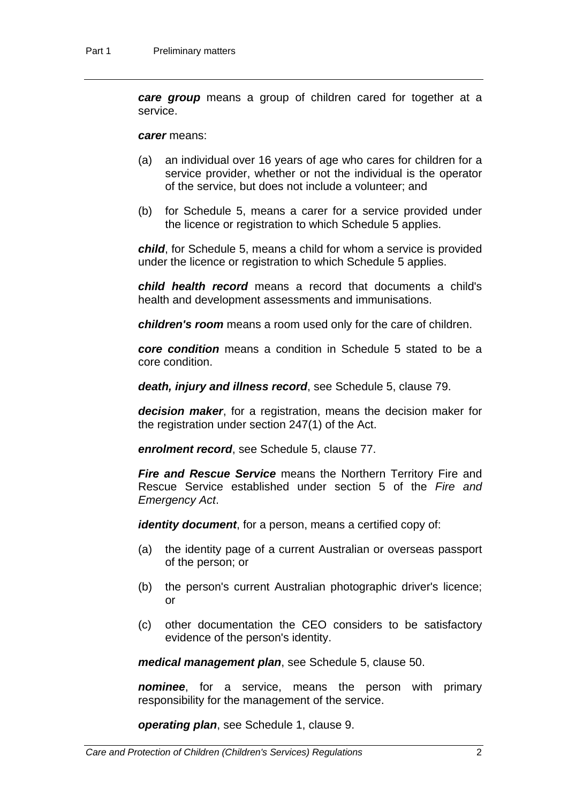*care group* means a group of children cared for together at a service.

#### *carer* means:

- (a) an individual over 16 years of age who cares for children for a service provider, whether or not the individual is the operator of the service, but does not include a volunteer; and
- (b) for Schedule 5, means a carer for a service provided under the licence or registration to which Schedule 5 applies.

*child*, for Schedule 5, means a child for whom a service is provided under the licence or registration to which Schedule 5 applies.

*child health record* means a record that documents a child's health and development assessments and immunisations.

*children's room* means a room used only for the care of children.

*core condition* means a condition in Schedule 5 stated to be a core condition.

*death, injury and illness record*, see Schedule 5, clause 79.

*decision maker*, for a registration, means the decision maker for the registration under section 247(1) of the Act.

*enrolment record*, see Schedule 5, clause 77.

*Fire and Rescue Service* means the Northern Territory Fire and Rescue Service established under section 5 of the *Fire and Emergency Act*.

*identity document*, for a person, means a certified copy of:

- (a) the identity page of a current Australian or overseas passport of the person; or
- (b) the person's current Australian photographic driver's licence; or
- (c) other documentation the CEO considers to be satisfactory evidence of the person's identity.

*medical management plan*, see Schedule 5, clause 50.

*nominee*, for a service, means the person with primary responsibility for the management of the service.

*operating plan*, see Schedule 1, clause 9.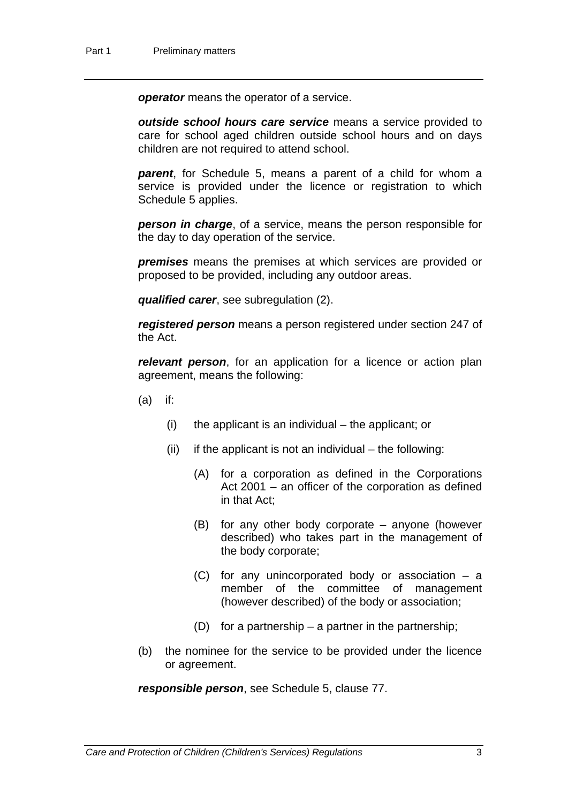*operator* means the operator of a service.

*outside school hours care service* means a service provided to care for school aged children outside school hours and on days children are not required to attend school.

*parent*, for Schedule 5, means a parent of a child for whom a service is provided under the licence or registration to which Schedule 5 applies.

*person in charge*, of a service, means the person responsible for the day to day operation of the service.

*premises* means the premises at which services are provided or proposed to be provided, including any outdoor areas.

*qualified carer*, see subregulation (2).

*registered person* means a person registered under section 247 of the Act.

*relevant person*, for an application for a licence or action plan agreement, means the following:

- (a) if:
	- $(i)$  the applicant is an individual the applicant; or
	- $(ii)$  if the applicant is not an individual the following:
		- (A) for a corporation as defined in the Corporations Act 2001 – an officer of the corporation as defined in that Act;
		- (B) for any other body corporate anyone (however described) who takes part in the management of the body corporate;
		- (C) for any unincorporated body or association a member of the committee of management (however described) of the body or association;
		- (D) for a partnership a partner in the partnership;
- (b) the nominee for the service to be provided under the licence or agreement.

*responsible person*, see Schedule 5, clause 77.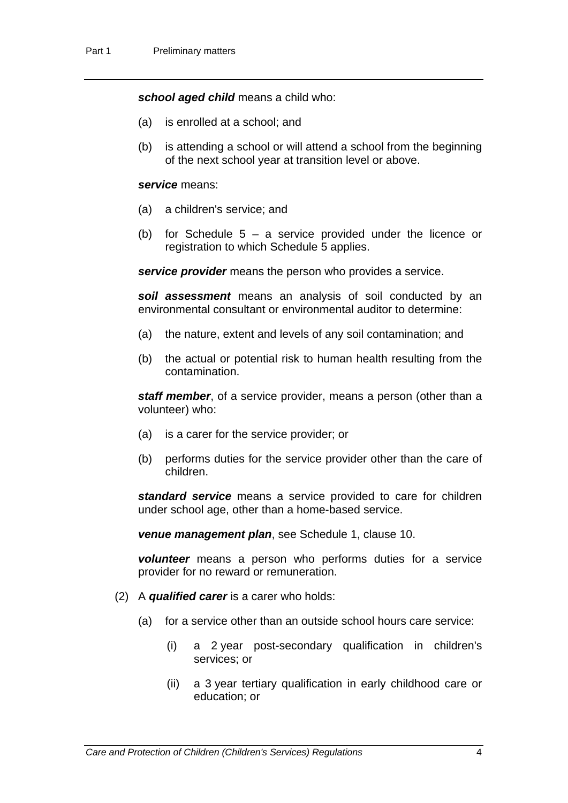*school aged child* means a child who:

- (a) is enrolled at a school; and
- (b) is attending a school or will attend a school from the beginning of the next school year at transition level or above.

#### *service* means:

- (a) a children's service; and
- (b) for Schedule  $5 a$  service provided under the licence or registration to which Schedule 5 applies.

*service provider* means the person who provides a service.

*soil assessment* means an analysis of soil conducted by an environmental consultant or environmental auditor to determine:

- (a) the nature, extent and levels of any soil contamination; and
- (b) the actual or potential risk to human health resulting from the contamination.

*staff member*, of a service provider, means a person (other than a volunteer) who:

- (a) is a carer for the service provider; or
- (b) performs duties for the service provider other than the care of children.

*standard service* means a service provided to care for children under school age, other than a home-based service.

*venue management plan*, see Schedule 1, clause 10.

*volunteer* means a person who performs duties for a service provider for no reward or remuneration.

- (2) A *qualified carer* is a carer who holds:
	- (a) for a service other than an outside school hours care service:
		- (i) a 2 year post-secondary qualification in children's services; or
		- (ii) a 3 year tertiary qualification in early childhood care or education; or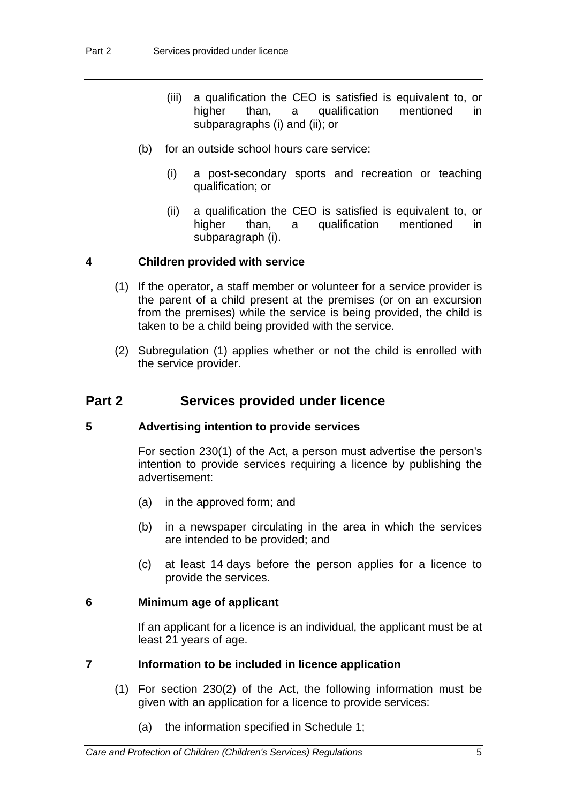- (iii) a qualification the CEO is satisfied is equivalent to, or higher than, a qualification mentioned in subparagraphs (i) and (ii); or
- (b) for an outside school hours care service:
	- (i) a post-secondary sports and recreation or teaching qualification; or
	- (ii) a qualification the CEO is satisfied is equivalent to, or higher than, a qualification mentioned in subparagraph (i).

#### **4 Children provided with service**

- (1) If the operator, a staff member or volunteer for a service provider is the parent of a child present at the premises (or on an excursion from the premises) while the service is being provided, the child is taken to be a child being provided with the service.
- (2) Subregulation (1) applies whether or not the child is enrolled with the service provider.

# **Part 2 Services provided under licence**

#### **5 Advertising intention to provide services**

For section 230(1) of the Act, a person must advertise the person's intention to provide services requiring a licence by publishing the advertisement:

- (a) in the approved form; and
- (b) in a newspaper circulating in the area in which the services are intended to be provided; and
- (c) at least 14 days before the person applies for a licence to provide the services.

#### **6 Minimum age of applicant**

If an applicant for a licence is an individual, the applicant must be at least 21 years of age.

#### **7 Information to be included in licence application**

- (1) For section 230(2) of the Act, the following information must be given with an application for a licence to provide services:
	- (a) the information specified in Schedule 1;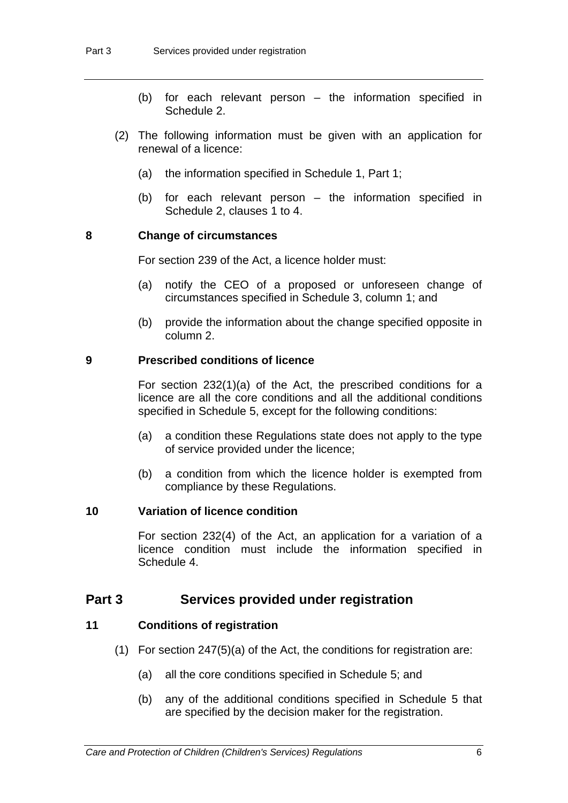- (b) for each relevant person the information specified in Schedule 2.
- (2) The following information must be given with an application for renewal of a licence:
	- (a) the information specified in Schedule 1, Part 1;
	- (b) for each relevant person the information specified in Schedule 2, clauses 1 to 4.

#### **8 Change of circumstances**

For section 239 of the Act, a licence holder must:

- (a) notify the CEO of a proposed or unforeseen change of circumstances specified in Schedule 3, column 1; and
- (b) provide the information about the change specified opposite in column 2.

### **9 Prescribed conditions of licence**

For section 232(1)(a) of the Act, the prescribed conditions for a licence are all the core conditions and all the additional conditions specified in Schedule 5, except for the following conditions:

- (a) a condition these Regulations state does not apply to the type of service provided under the licence;
- (b) a condition from which the licence holder is exempted from compliance by these Regulations.

#### **10 Variation of licence condition**

For section 232(4) of the Act, an application for a variation of a licence condition must include the information specified in Schedule 4.

### **Part 3 Services provided under registration**

#### **11 Conditions of registration**

- (1) For section 247(5)(a) of the Act, the conditions for registration are:
	- (a) all the core conditions specified in Schedule 5; and
	- (b) any of the additional conditions specified in Schedule 5 that are specified by the decision maker for the registration.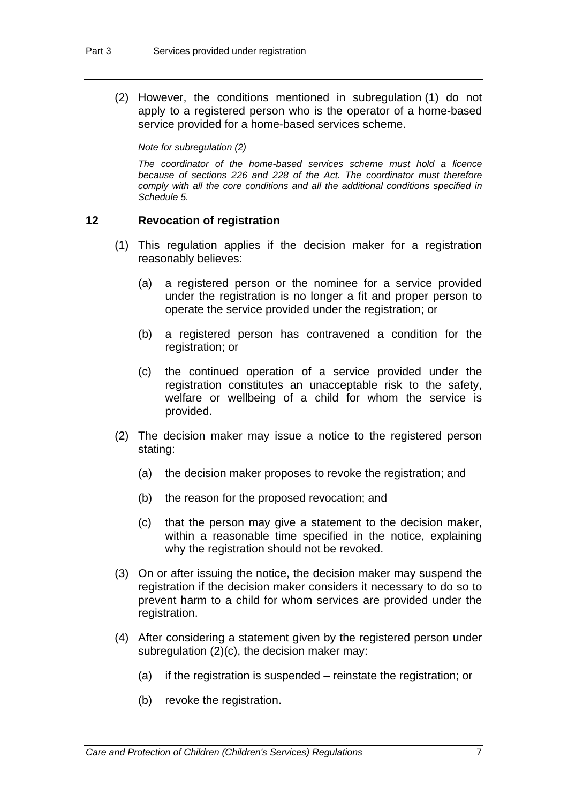(2) However, the conditions mentioned in subregulation (1) do not apply to a registered person who is the operator of a home-based service provided for a home-based services scheme.

*Note for subregulation (2)* 

*The coordinator of the home-based services scheme must hold a licence because of sections 226 and 228 of the Act. The coordinator must therefore comply with all the core conditions and all the additional conditions specified in Schedule 5.* 

### **12 Revocation of registration**

- (1) This regulation applies if the decision maker for a registration reasonably believes:
	- (a) a registered person or the nominee for a service provided under the registration is no longer a fit and proper person to operate the service provided under the registration; or
	- (b) a registered person has contravened a condition for the registration; or
	- (c) the continued operation of a service provided under the registration constitutes an unacceptable risk to the safety, welfare or wellbeing of a child for whom the service is provided.
- (2) The decision maker may issue a notice to the registered person stating:
	- (a) the decision maker proposes to revoke the registration; and
	- (b) the reason for the proposed revocation; and
	- (c) that the person may give a statement to the decision maker, within a reasonable time specified in the notice, explaining why the registration should not be revoked.
- (3) On or after issuing the notice, the decision maker may suspend the registration if the decision maker considers it necessary to do so to prevent harm to a child for whom services are provided under the registration.
- (4) After considering a statement given by the registered person under subregulation (2)(c), the decision maker may:
	- (a) if the registration is suspended reinstate the registration; or
	- (b) revoke the registration.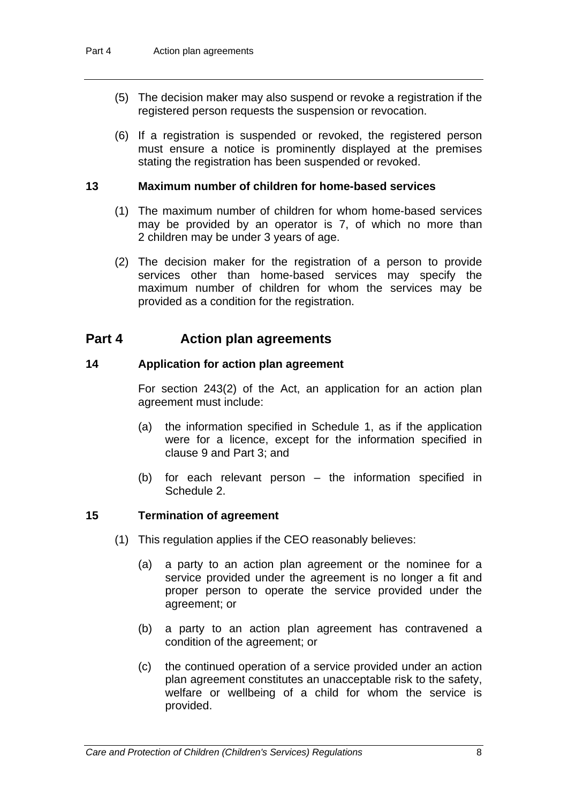- (5) The decision maker may also suspend or revoke a registration if the registered person requests the suspension or revocation.
- (6) If a registration is suspended or revoked, the registered person must ensure a notice is prominently displayed at the premises stating the registration has been suspended or revoked.

#### **13 Maximum number of children for home-based services**

- (1) The maximum number of children for whom home-based services may be provided by an operator is 7, of which no more than 2 children may be under 3 years of age.
- (2) The decision maker for the registration of a person to provide services other than home-based services may specify the maximum number of children for whom the services may be provided as a condition for the registration.

# **Part 4 Action plan agreements**

### **14 Application for action plan agreement**

For section 243(2) of the Act, an application for an action plan agreement must include:

- (a) the information specified in Schedule 1, as if the application were for a licence, except for the information specified in clause 9 and Part 3; and
- (b) for each relevant person the information specified in Schedule 2.

#### **15 Termination of agreement**

- (1) This regulation applies if the CEO reasonably believes:
	- (a) a party to an action plan agreement or the nominee for a service provided under the agreement is no longer a fit and proper person to operate the service provided under the agreement; or
	- (b) a party to an action plan agreement has contravened a condition of the agreement; or
	- (c) the continued operation of a service provided under an action plan agreement constitutes an unacceptable risk to the safety, welfare or wellbeing of a child for whom the service is provided.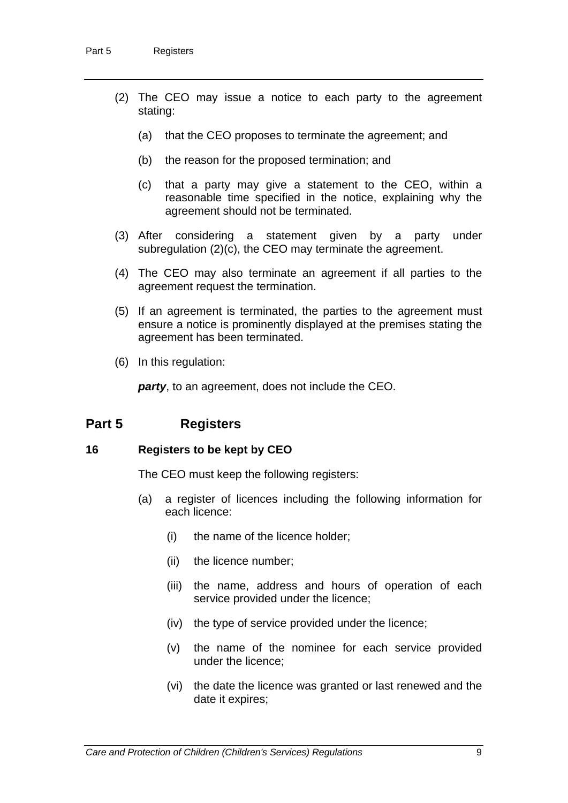- (2) The CEO may issue a notice to each party to the agreement stating:
	- (a) that the CEO proposes to terminate the agreement; and
	- (b) the reason for the proposed termination; and
	- (c) that a party may give a statement to the CEO, within a reasonable time specified in the notice, explaining why the agreement should not be terminated.
- (3) After considering a statement given by a party under subregulation (2)(c), the CEO may terminate the agreement.
- (4) The CEO may also terminate an agreement if all parties to the agreement request the termination.
- (5) If an agreement is terminated, the parties to the agreement must ensure a notice is prominently displayed at the premises stating the agreement has been terminated.
- (6) In this regulation:

*party*, to an agreement, does not include the CEO.

# **Part 5 Registers**

#### **16 Registers to be kept by CEO**

The CEO must keep the following registers:

- (a) a register of licences including the following information for each licence:
	- (i) the name of the licence holder;
	- (ii) the licence number;
	- (iii) the name, address and hours of operation of each service provided under the licence;
	- (iv) the type of service provided under the licence;
	- (v) the name of the nominee for each service provided under the licence;
	- (vi) the date the licence was granted or last renewed and the date it expires;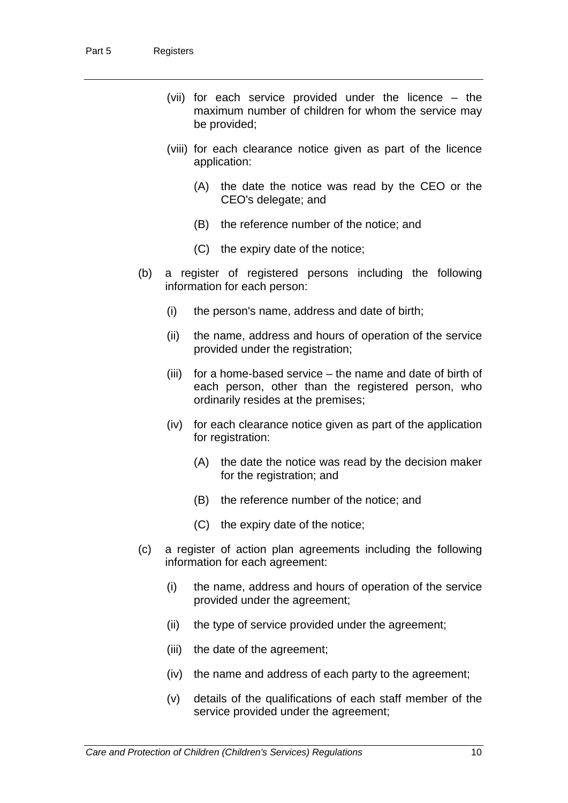- (vii) for each service provided under the licence the maximum number of children for whom the service may be provided;
- (viii) for each clearance notice given as part of the licence application:
	- (A) the date the notice was read by the CEO or the CEO's delegate; and
	- (B) the reference number of the notice; and
	- (C) the expiry date of the notice;
- (b) a register of registered persons including the following information for each person:
	- (i) the person's name, address and date of birth;
	- (ii) the name, address and hours of operation of the service provided under the registration;
	- (iii) for a home-based service the name and date of birth of each person, other than the registered person, who ordinarily resides at the premises;
	- (iv) for each clearance notice given as part of the application for registration:
		- (A) the date the notice was read by the decision maker for the registration; and
		- (B) the reference number of the notice; and
		- (C) the expiry date of the notice;
- (c) a register of action plan agreements including the following information for each agreement:
	- (i) the name, address and hours of operation of the service provided under the agreement;
	- (ii) the type of service provided under the agreement;
	- (iii) the date of the agreement;
	- (iv) the name and address of each party to the agreement;
	- (v) details of the qualifications of each staff member of the service provided under the agreement;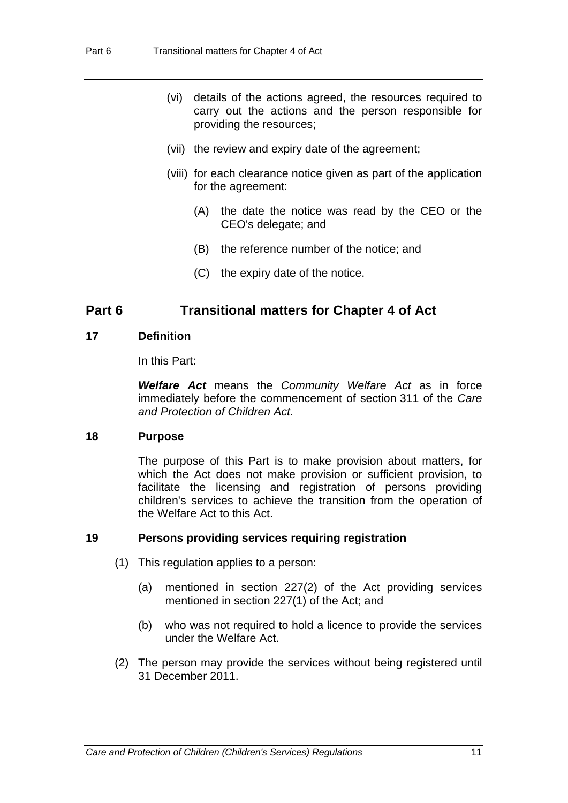- (vi) details of the actions agreed, the resources required to carry out the actions and the person responsible for providing the resources;
- (vii) the review and expiry date of the agreement;
- (viii) for each clearance notice given as part of the application for the agreement:
	- (A) the date the notice was read by the CEO or the CEO's delegate; and
	- (B) the reference number of the notice; and
	- (C) the expiry date of the notice.

# **Part 6 Transitional matters for Chapter 4 of Act**

#### **17 Definition**

In this Part:

*Welfare Act* means the *Community Welfare Act* as in force immediately before the commencement of section 311 of the *Care and Protection of Children Act*.

#### **18 Purpose**

The purpose of this Part is to make provision about matters, for which the Act does not make provision or sufficient provision, to facilitate the licensing and registration of persons providing children's services to achieve the transition from the operation of the Welfare Act to this Act.

#### **19 Persons providing services requiring registration**

- (1) This regulation applies to a person:
	- (a) mentioned in section 227(2) of the Act providing services mentioned in section 227(1) of the Act; and
	- (b) who was not required to hold a licence to provide the services under the Welfare Act.
- (2) The person may provide the services without being registered until 31 December 2011.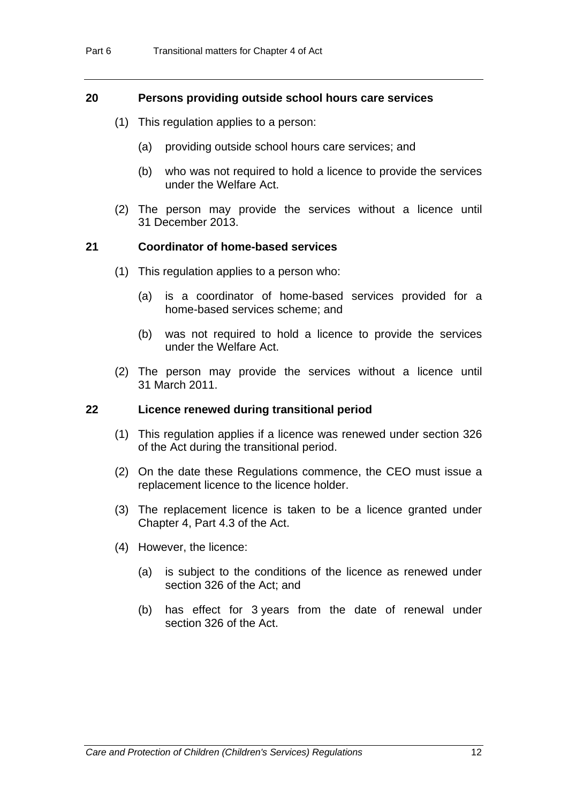#### **20 Persons providing outside school hours care services**

- (1) This regulation applies to a person:
	- (a) providing outside school hours care services; and
	- (b) who was not required to hold a licence to provide the services under the Welfare Act.
- (2) The person may provide the services without a licence until 31 December 2013.

### **21 Coordinator of home-based services**

- (1) This regulation applies to a person who:
	- (a) is a coordinator of home-based services provided for a home-based services scheme; and
	- (b) was not required to hold a licence to provide the services under the Welfare Act.
- (2) The person may provide the services without a licence until 31 March 2011.

#### **22 Licence renewed during transitional period**

- (1) This regulation applies if a licence was renewed under section 326 of the Act during the transitional period.
- (2) On the date these Regulations commence, the CEO must issue a replacement licence to the licence holder.
- (3) The replacement licence is taken to be a licence granted under Chapter 4, Part 4.3 of the Act.
- (4) However, the licence:
	- (a) is subject to the conditions of the licence as renewed under section 326 of the Act; and
	- (b) has effect for 3 years from the date of renewal under section 326 of the Act.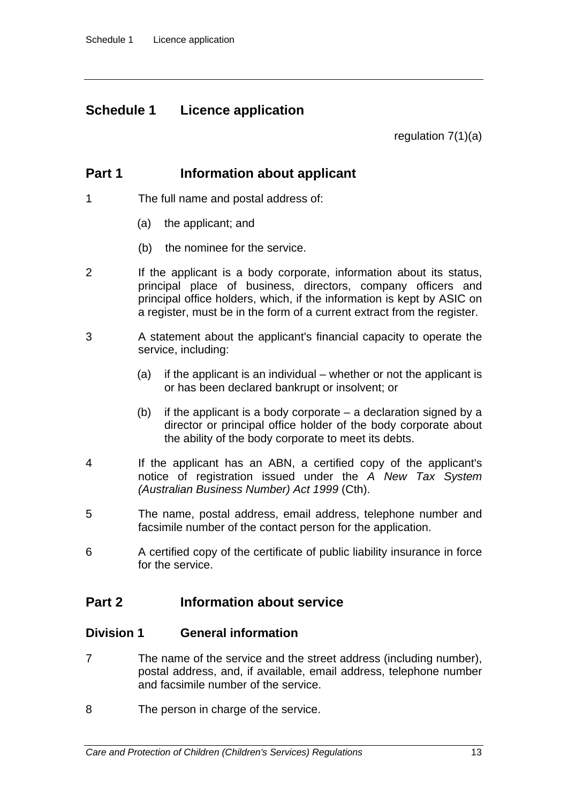# **Schedule 1 Licence application**

regulation 7(1)(a)

# **Part 1** Information about applicant

- 1 The full name and postal address of:
	- (a) the applicant; and
	- (b) the nominee for the service.
- 2 If the applicant is a body corporate, information about its status, principal place of business, directors, company officers and principal office holders, which, if the information is kept by ASIC on a register, must be in the form of a current extract from the register.
- 3 A statement about the applicant's financial capacity to operate the service, including:
	- (a) if the applicant is an individual whether or not the applicant is or has been declared bankrupt or insolvent; or
	- (b) if the applicant is a body corporate a declaration signed by a director or principal office holder of the body corporate about the ability of the body corporate to meet its debts.
- 4 If the applicant has an ABN, a certified copy of the applicant's notice of registration issued under the *A New Tax System (Australian Business Number) Act 1999* (Cth).
- 5 The name, postal address, email address, telephone number and facsimile number of the contact person for the application.
- 6 A certified copy of the certificate of public liability insurance in force for the service.

# **Part 2 Information about service**

### **Division 1 General information**

- 7 The name of the service and the street address (including number), postal address, and, if available, email address, telephone number and facsimile number of the service.
- 8 The person in charge of the service.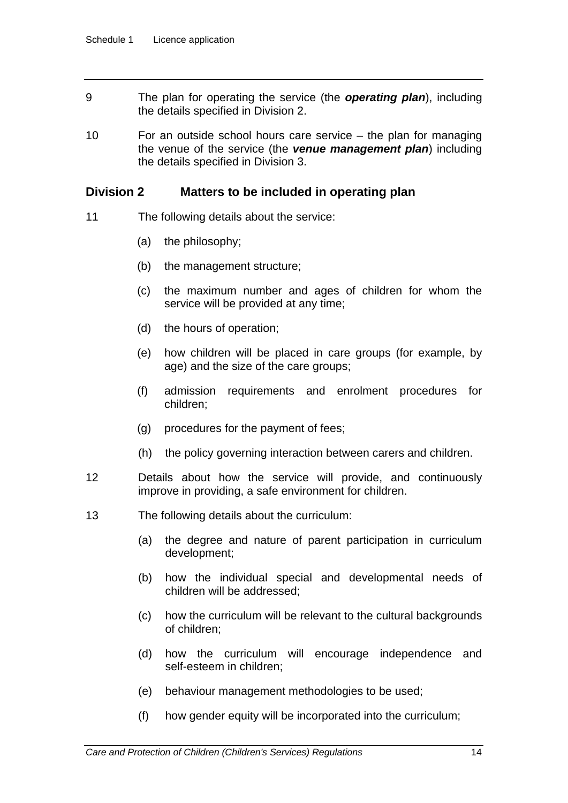- 9 The plan for operating the service (the *operating plan*), including the details specified in Division 2.
- 10 For an outside school hours care service the plan for managing the venue of the service (the *venue management plan*) including the details specified in Division 3.

### **Division 2 Matters to be included in operating plan**

- 11 The following details about the service:
	- (a) the philosophy;
	- (b) the management structure;
	- (c) the maximum number and ages of children for whom the service will be provided at any time;
	- (d) the hours of operation;
	- (e) how children will be placed in care groups (for example, by age) and the size of the care groups;
	- (f) admission requirements and enrolment procedures for children;
	- (g) procedures for the payment of fees;
	- (h) the policy governing interaction between carers and children.
- 12 Details about how the service will provide, and continuously improve in providing, a safe environment for children.
- 13 The following details about the curriculum:
	- (a) the degree and nature of parent participation in curriculum development;
	- (b) how the individual special and developmental needs of children will be addressed;
	- (c) how the curriculum will be relevant to the cultural backgrounds of children;
	- (d) how the curriculum will encourage independence and self-esteem in children;
	- (e) behaviour management methodologies to be used;
	- (f) how gender equity will be incorporated into the curriculum;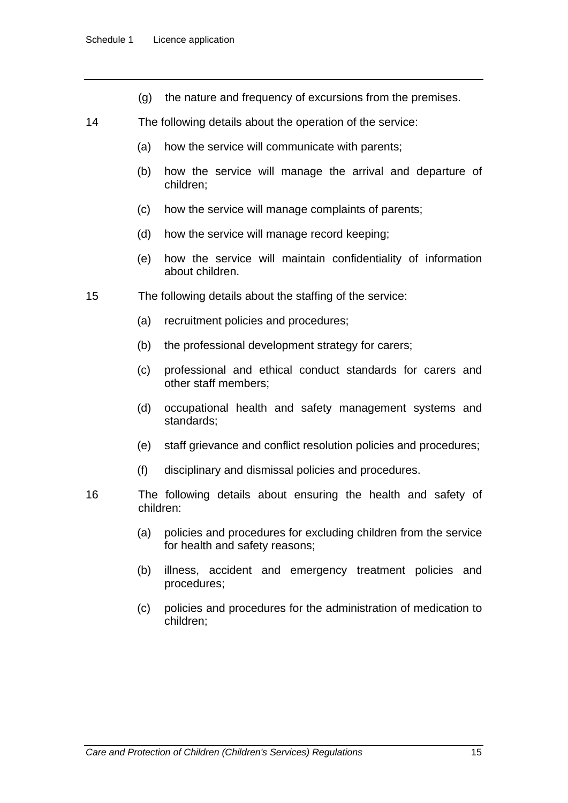- (g) the nature and frequency of excursions from the premises.
- 14 The following details about the operation of the service:
	- (a) how the service will communicate with parents;
	- (b) how the service will manage the arrival and departure of children;
	- (c) how the service will manage complaints of parents;
	- (d) how the service will manage record keeping;
	- (e) how the service will maintain confidentiality of information about children.
- 15 The following details about the staffing of the service:
	- (a) recruitment policies and procedures;
	- (b) the professional development strategy for carers;
	- (c) professional and ethical conduct standards for carers and other staff members;
	- (d) occupational health and safety management systems and standards;
	- (e) staff grievance and conflict resolution policies and procedures;
	- (f) disciplinary and dismissal policies and procedures.
- 16 The following details about ensuring the health and safety of children:
	- (a) policies and procedures for excluding children from the service for health and safety reasons;
	- (b) illness, accident and emergency treatment policies and procedures;
	- (c) policies and procedures for the administration of medication to children;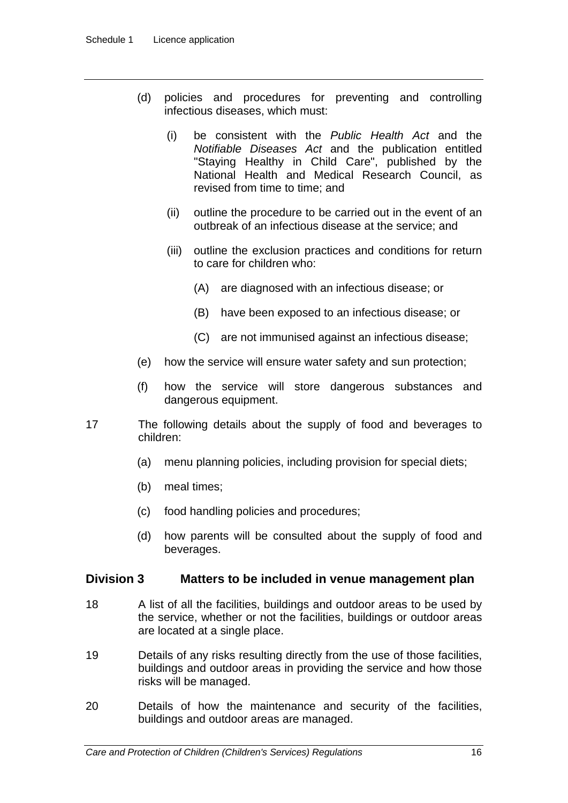- (d) policies and procedures for preventing and controlling infectious diseases, which must:
	- (i) be consistent with the *Public Health Act* and the *Notifiable Diseases Act* and the publication entitled "Staying Healthy in Child Care", published by the National Health and Medical Research Council, as revised from time to time; and
	- (ii) outline the procedure to be carried out in the event of an outbreak of an infectious disease at the service; and
	- (iii) outline the exclusion practices and conditions for return to care for children who:
		- (A) are diagnosed with an infectious disease; or
		- (B) have been exposed to an infectious disease; or
		- (C) are not immunised against an infectious disease;
- (e) how the service will ensure water safety and sun protection;
- (f) how the service will store dangerous substances and dangerous equipment.
- 17 The following details about the supply of food and beverages to children:
	- (a) menu planning policies, including provision for special diets;
	- (b) meal times;
	- (c) food handling policies and procedures;
	- (d) how parents will be consulted about the supply of food and beverages.

### **Division 3 Matters to be included in venue management plan**

- 18 A list of all the facilities, buildings and outdoor areas to be used by the service, whether or not the facilities, buildings or outdoor areas are located at a single place.
- 19 Details of any risks resulting directly from the use of those facilities, buildings and outdoor areas in providing the service and how those risks will be managed.
- 20 Details of how the maintenance and security of the facilities, buildings and outdoor areas are managed.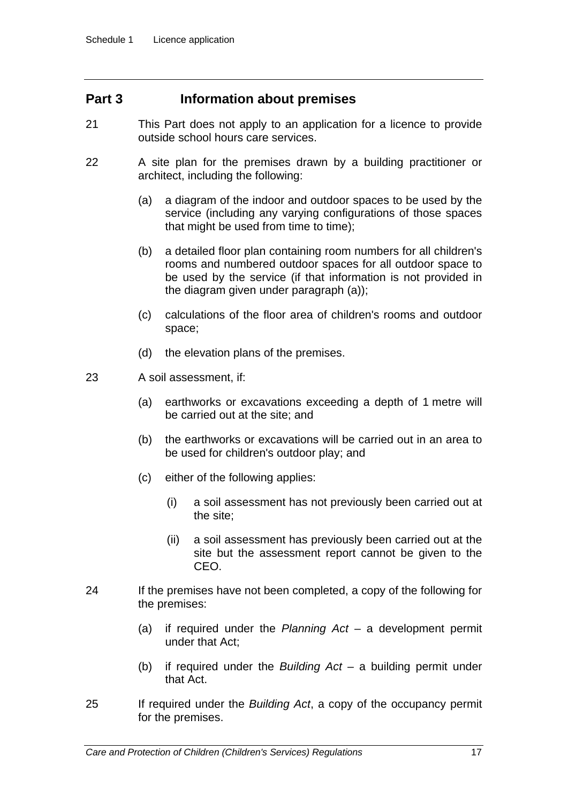# **Part 3 Information about premises**

- 21 This Part does not apply to an application for a licence to provide outside school hours care services.
- 22 A site plan for the premises drawn by a building practitioner or architect, including the following:
	- (a) a diagram of the indoor and outdoor spaces to be used by the service (including any varying configurations of those spaces that might be used from time to time);
	- (b) a detailed floor plan containing room numbers for all children's rooms and numbered outdoor spaces for all outdoor space to be used by the service (if that information is not provided in the diagram given under paragraph (a));
	- (c) calculations of the floor area of children's rooms and outdoor space;
	- (d) the elevation plans of the premises.
- 23 A soil assessment, if:
	- (a) earthworks or excavations exceeding a depth of 1 metre will be carried out at the site; and
	- (b) the earthworks or excavations will be carried out in an area to be used for children's outdoor play; and
	- (c) either of the following applies:
		- (i) a soil assessment has not previously been carried out at the site;
		- (ii) a soil assessment has previously been carried out at the site but the assessment report cannot be given to the CEO.
- 24 If the premises have not been completed, a copy of the following for the premises:
	- (a) if required under the *Planning Act* a development permit under that Act;
	- (b) if required under the *Building Act* a building permit under that Act.
- 25 If required under the *Building Act*, a copy of the occupancy permit for the premises.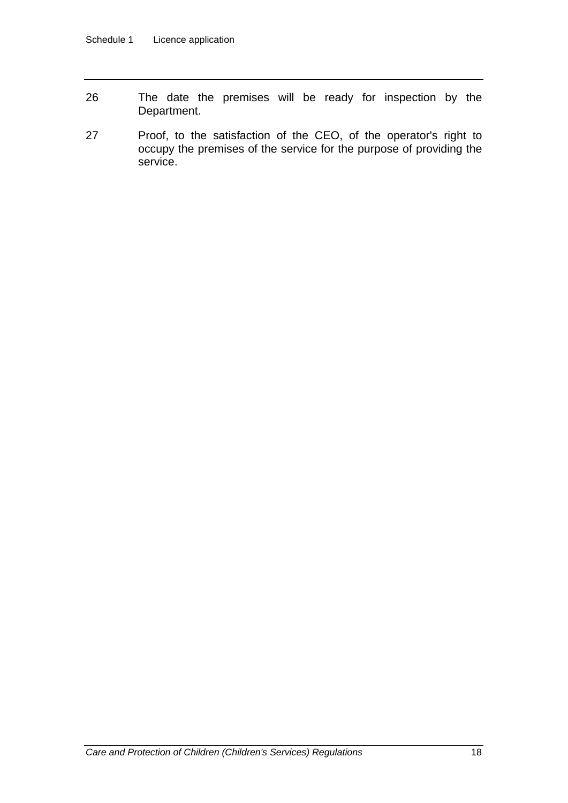- 26 The date the premises will be ready for inspection by the Department.
- 27 Proof, to the satisfaction of the CEO, of the operator's right to occupy the premises of the service for the purpose of providing the service.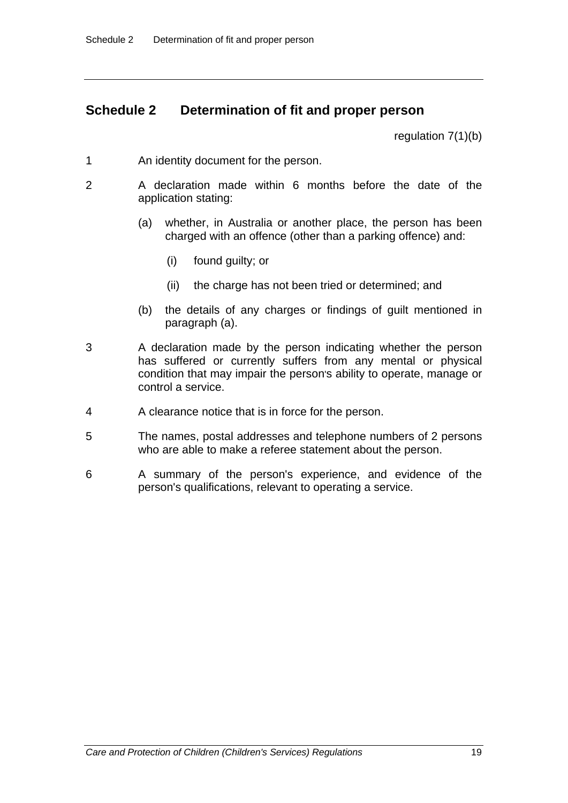# **Schedule 2 Determination of fit and proper person**

regulation 7(1)(b)

- 1 An identity document for the person.
- 2 A declaration made within 6 months before the date of the application stating:
	- (a) whether, in Australia or another place, the person has been charged with an offence (other than a parking offence) and:
		- (i) found guilty; or
		- (ii) the charge has not been tried or determined; and
	- (b) the details of any charges or findings of guilt mentioned in paragraph (a).
- 3 A declaration made by the person indicating whether the person has suffered or currently suffers from any mental or physical condition that may impair the person's ability to operate, manage or control a service.
- 4 A clearance notice that is in force for the person.
- 5 The names, postal addresses and telephone numbers of 2 persons who are able to make a referee statement about the person.
- 6 A summary of the person's experience, and evidence of the person's qualifications, relevant to operating a service.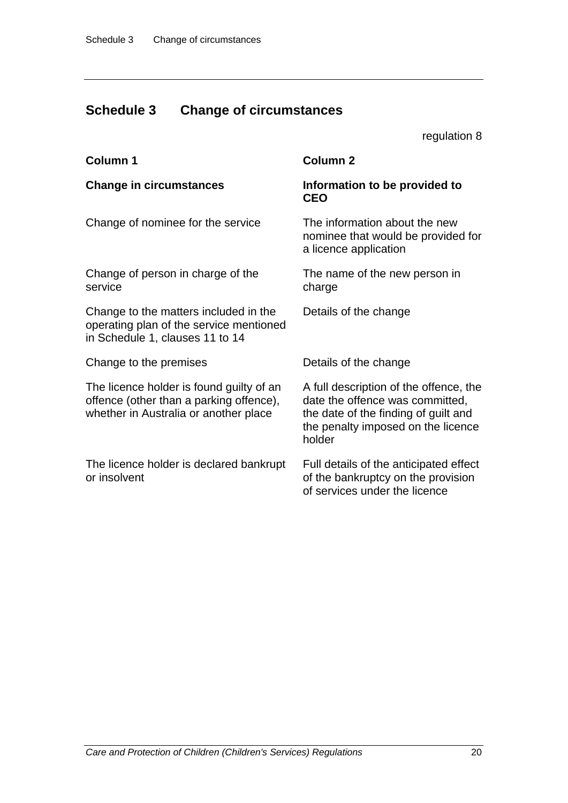# **Schedule 3 Change of circumstances**

regulation 8

| Column 1                                                                                                                     | <b>Column 2</b>                                                                                                                                                   |
|------------------------------------------------------------------------------------------------------------------------------|-------------------------------------------------------------------------------------------------------------------------------------------------------------------|
| <b>Change in circumstances</b>                                                                                               | Information to be provided to<br><b>CEO</b>                                                                                                                       |
| Change of nominee for the service                                                                                            | The information about the new<br>nominee that would be provided for<br>a licence application                                                                      |
| Change of person in charge of the<br>service                                                                                 | The name of the new person in<br>charge                                                                                                                           |
| Change to the matters included in the<br>operating plan of the service mentioned<br>in Schedule 1, clauses 11 to 14          | Details of the change                                                                                                                                             |
| Change to the premises                                                                                                       | Details of the change                                                                                                                                             |
| The licence holder is found guilty of an<br>offence (other than a parking offence),<br>whether in Australia or another place | A full description of the offence, the<br>date the offence was committed,<br>the date of the finding of guilt and<br>the penalty imposed on the licence<br>holder |
| The licence holder is declared bankrupt<br>or insolvent                                                                      | Full details of the anticipated effect<br>of the bankruptcy on the provision<br>of services under the licence                                                     |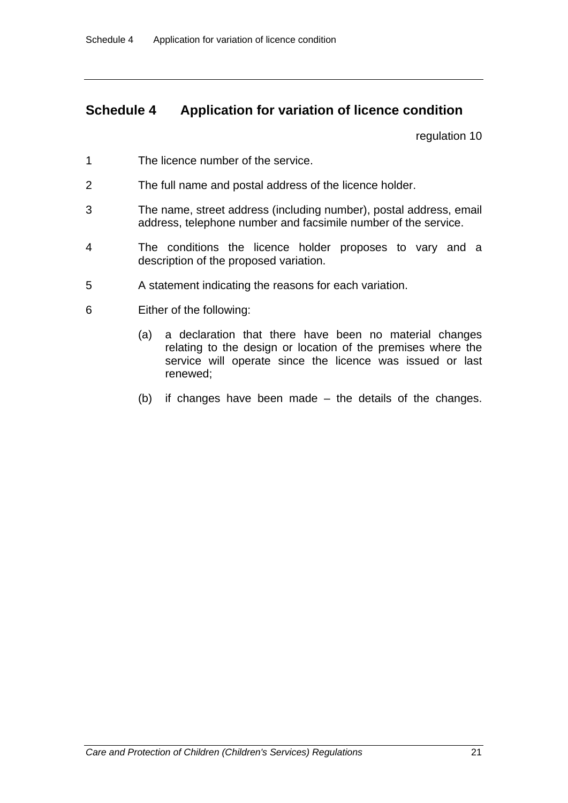# **Schedule 4 Application for variation of licence condition**

regulation 10

- 1 The licence number of the service.
- 2 The full name and postal address of the licence holder.
- 3 The name, street address (including number), postal address, email address, telephone number and facsimile number of the service.
- 4 The conditions the licence holder proposes to vary and a description of the proposed variation.
- 5 A statement indicating the reasons for each variation.
- 6 Either of the following:
	- (a) a declaration that there have been no material changes relating to the design or location of the premises where the service will operate since the licence was issued or last renewed;
	- (b) if changes have been made the details of the changes.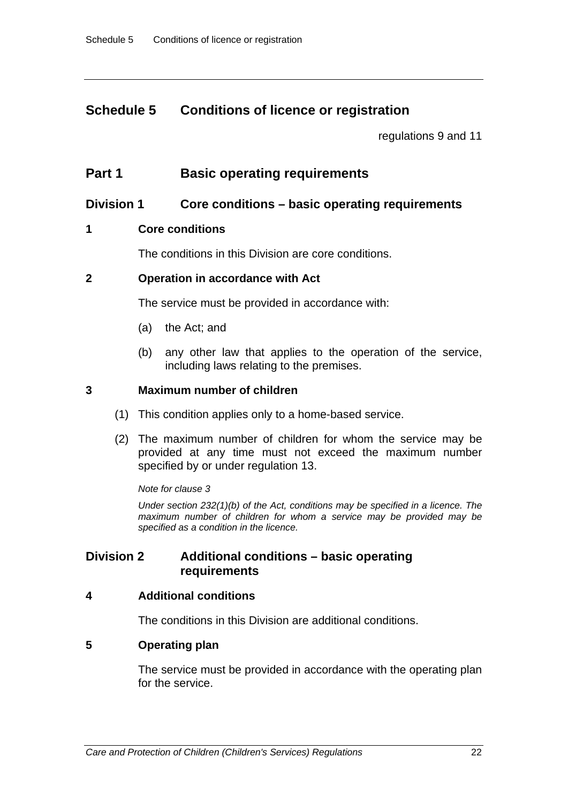# **Schedule 5 Conditions of licence or registration**

regulations 9 and 11

# **Part 1** Basic operating requirements

### **Division 1 Core conditions – basic operating requirements**

### **1 Core conditions**

The conditions in this Division are core conditions.

### **2 Operation in accordance with Act**

The service must be provided in accordance with:

- (a) the Act; and
- (b) any other law that applies to the operation of the service, including laws relating to the premises.

### **3 Maximum number of children**

- (1) This condition applies only to a home-based service.
- (2) The maximum number of children for whom the service may be provided at any time must not exceed the maximum number specified by or under regulation 13.

#### *Note for clause 3*

*Under section 232(1)(b) of the Act, conditions may be specified in a licence. The maximum number of children for whom a service may be provided may be specified as a condition in the licence.* 

# **Division 2 Additional conditions – basic operating requirements**

#### **4 Additional conditions**

The conditions in this Division are additional conditions.

#### **5 Operating plan**

The service must be provided in accordance with the operating plan for the service.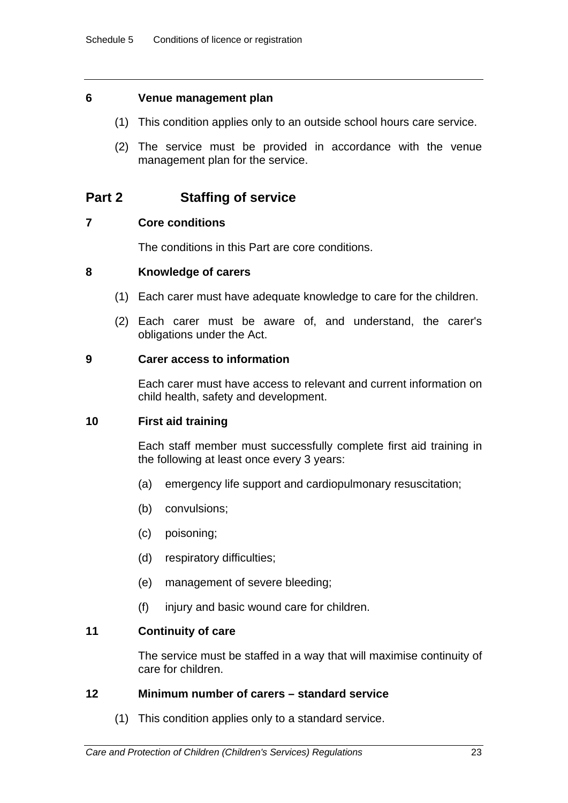### **6 Venue management plan**

- (1) This condition applies only to an outside school hours care service.
- (2) The service must be provided in accordance with the venue management plan for the service.

# **Part 2 Staffing of service**

### **7 Core conditions**

The conditions in this Part are core conditions.

### **8 Knowledge of carers**

- (1) Each carer must have adequate knowledge to care for the children.
- (2) Each carer must be aware of, and understand, the carer's obligations under the Act.

### **9 Carer access to information**

Each carer must have access to relevant and current information on child health, safety and development.

### **10 First aid training**

Each staff member must successfully complete first aid training in the following at least once every 3 years:

- (a) emergency life support and cardiopulmonary resuscitation;
- (b) convulsions;
- (c) poisoning;
- (d) respiratory difficulties;
- (e) management of severe bleeding;
- (f) injury and basic wound care for children.

### **11 Continuity of care**

The service must be staffed in a way that will maximise continuity of care for children.

### **12 Minimum number of carers – standard service**

(1) This condition applies only to a standard service.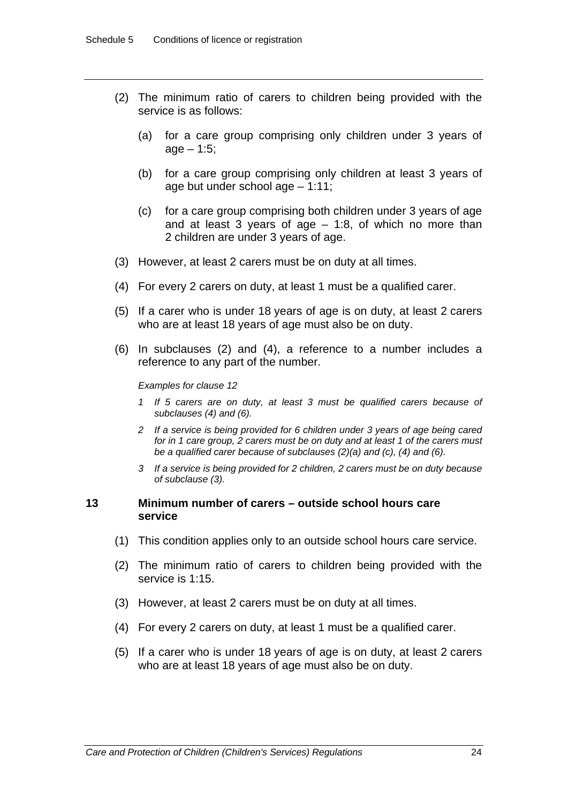- (2) The minimum ratio of carers to children being provided with the service is as follows:
	- (a) for a care group comprising only children under 3 years of  $age - 1:5;$
	- (b) for a care group comprising only children at least 3 years of age but under school age – 1:11;
	- (c) for a care group comprising both children under 3 years of age and at least 3 years of  $age - 1.8$ , of which no more than 2 children are under 3 years of age.
- (3) However, at least 2 carers must be on duty at all times.
- (4) For every 2 carers on duty, at least 1 must be a qualified carer.
- (5) If a carer who is under 18 years of age is on duty, at least 2 carers who are at least 18 years of age must also be on duty.
- (6) In subclauses (2) and (4), a reference to a number includes a reference to any part of the number.

#### *Examples for clause 12*

- *1 If 5 carers are on duty, at least 3 must be qualified carers because of subclauses (4) and (6).*
- *2 If a service is being provided for 6 children under 3 years of age being cared for in 1 care group, 2 carers must be on duty and at least 1 of the carers must be a qualified carer because of subclauses (2)(a) and (c), (4) and (6).*
- *3 If a service is being provided for 2 children, 2 carers must be on duty because of subclause (3).*

#### **13 Minimum number of carers – outside school hours care service**

- (1) This condition applies only to an outside school hours care service.
- (2) The minimum ratio of carers to children being provided with the service is 1:15.
- (3) However, at least 2 carers must be on duty at all times.
- (4) For every 2 carers on duty, at least 1 must be a qualified carer.
- (5) If a carer who is under 18 years of age is on duty, at least 2 carers who are at least 18 years of age must also be on duty.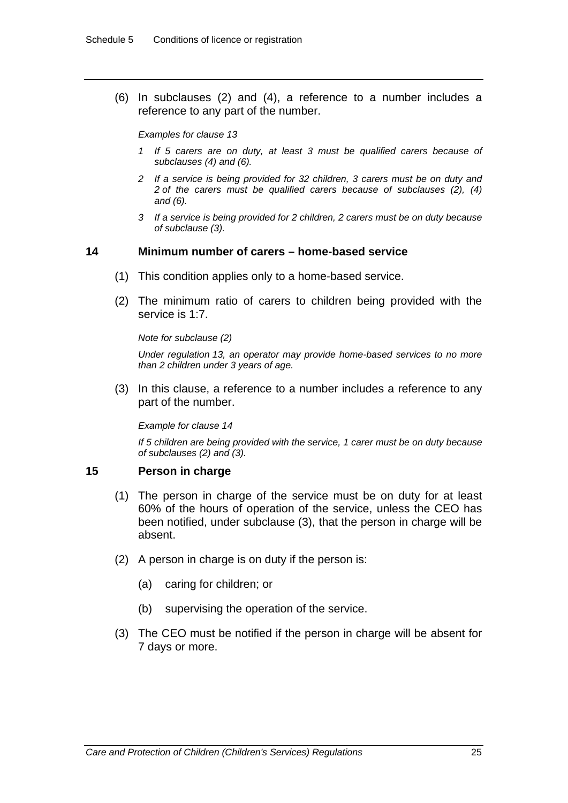(6) In subclauses (2) and (4), a reference to a number includes a reference to any part of the number.

*Examples for clause 13* 

- *1 If 5 carers are on duty, at least 3 must be qualified carers because of subclauses (4) and (6).*
- *2 If a service is being provided for 32 children, 3 carers must be on duty and 2 of the carers must be qualified carers because of subclauses (2), (4) and (6).*
- *3 If a service is being provided for 2 children, 2 carers must be on duty because of subclause (3).*

#### **14 Minimum number of carers – home-based service**

- (1) This condition applies only to a home-based service.
- (2) The minimum ratio of carers to children being provided with the service is 1:7.

*Note for subclause (2)* 

*Under regulation 13, an operator may provide home-based services to no more than 2 children under 3 years of age.* 

 (3) In this clause, a reference to a number includes a reference to any part of the number.

*Example for clause 14* 

*If 5 children are being provided with the service, 1 carer must be on duty because of subclauses (2) and (3).* 

#### **15 Person in charge**

- (1) The person in charge of the service must be on duty for at least 60% of the hours of operation of the service, unless the CEO has been notified, under subclause (3), that the person in charge will be absent.
- (2) A person in charge is on duty if the person is:
	- (a) caring for children; or
	- (b) supervising the operation of the service.
- (3) The CEO must be notified if the person in charge will be absent for 7 days or more.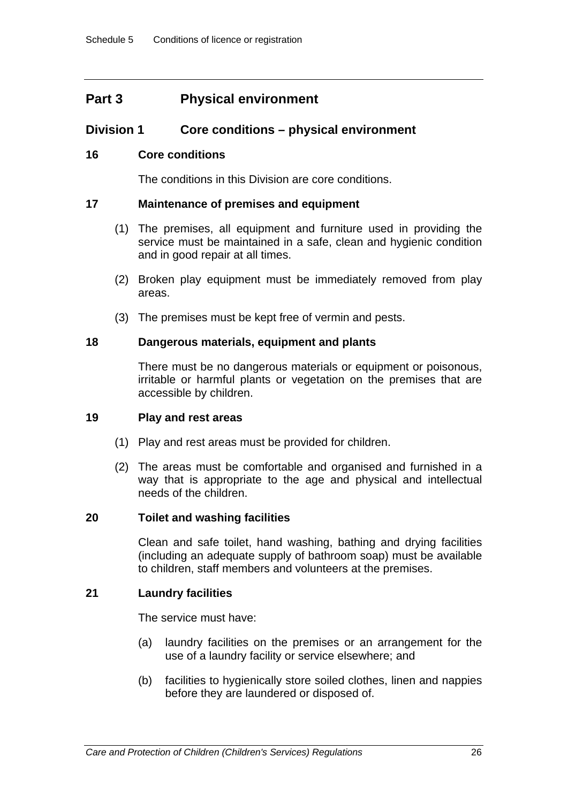# **Part 3 Physical environment**

### **Division 1 Core conditions – physical environment**

### **16 Core conditions**

The conditions in this Division are core conditions.

### **17 Maintenance of premises and equipment**

- (1) The premises, all equipment and furniture used in providing the service must be maintained in a safe, clean and hygienic condition and in good repair at all times.
- (2) Broken play equipment must be immediately removed from play areas.
- (3) The premises must be kept free of vermin and pests.

### **18 Dangerous materials, equipment and plants**

There must be no dangerous materials or equipment or poisonous, irritable or harmful plants or vegetation on the premises that are accessible by children.

#### **19 Play and rest areas**

- (1) Play and rest areas must be provided for children.
- (2) The areas must be comfortable and organised and furnished in a way that is appropriate to the age and physical and intellectual needs of the children.

### **20 Toilet and washing facilities**

Clean and safe toilet, hand washing, bathing and drying facilities (including an adequate supply of bathroom soap) must be available to children, staff members and volunteers at the premises.

### **21 Laundry facilities**

The service must have:

- (a) laundry facilities on the premises or an arrangement for the use of a laundry facility or service elsewhere; and
- (b) facilities to hygienically store soiled clothes, linen and nappies before they are laundered or disposed of.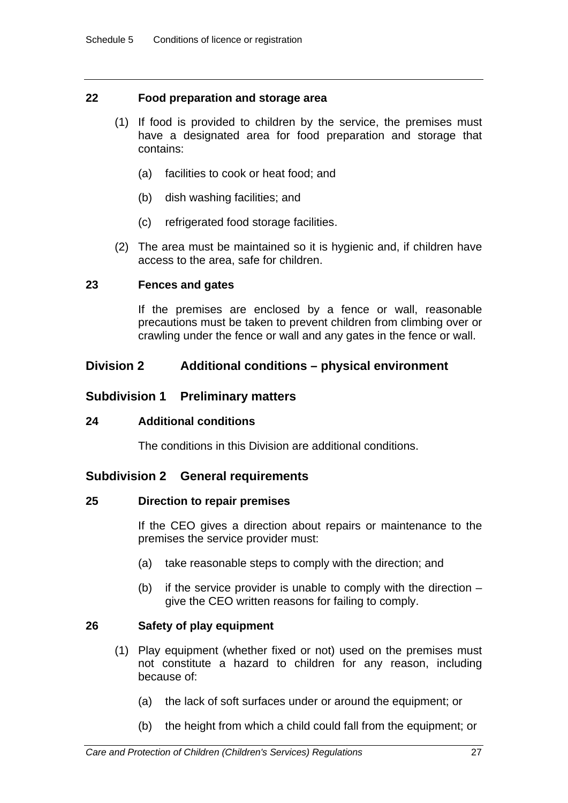### **22 Food preparation and storage area**

- (1) If food is provided to children by the service, the premises must have a designated area for food preparation and storage that contains:
	- (a) facilities to cook or heat food; and
	- (b) dish washing facilities; and
	- (c) refrigerated food storage facilities.
- (2) The area must be maintained so it is hygienic and, if children have access to the area, safe for children.

### **23 Fences and gates**

If the premises are enclosed by a fence or wall, reasonable precautions must be taken to prevent children from climbing over or crawling under the fence or wall and any gates in the fence or wall.

### **Division 2 Additional conditions – physical environment**

### **Subdivision 1 Preliminary matters**

#### **24 Additional conditions**

The conditions in this Division are additional conditions.

### **Subdivision 2 General requirements**

#### **25 Direction to repair premises**

If the CEO gives a direction about repairs or maintenance to the premises the service provider must:

- (a) take reasonable steps to comply with the direction; and
- (b) if the service provider is unable to comply with the direction  $$ give the CEO written reasons for failing to comply.

### **26 Safety of play equipment**

- (1) Play equipment (whether fixed or not) used on the premises must not constitute a hazard to children for any reason, including because of:
	- (a) the lack of soft surfaces under or around the equipment; or
	- (b) the height from which a child could fall from the equipment; or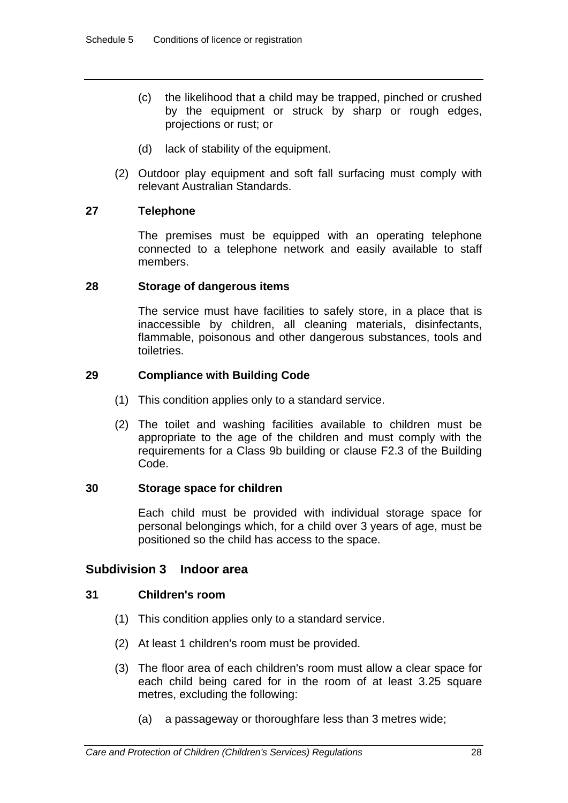- (c) the likelihood that a child may be trapped, pinched or crushed by the equipment or struck by sharp or rough edges, projections or rust; or
- (d) lack of stability of the equipment.
- (2) Outdoor play equipment and soft fall surfacing must comply with relevant Australian Standards.

### **27 Telephone**

The premises must be equipped with an operating telephone connected to a telephone network and easily available to staff members.

### **28 Storage of dangerous items**

The service must have facilities to safely store, in a place that is inaccessible by children, all cleaning materials, disinfectants, flammable, poisonous and other dangerous substances, tools and toiletries.

### **29 Compliance with Building Code**

- (1) This condition applies only to a standard service.
- (2) The toilet and washing facilities available to children must be appropriate to the age of the children and must comply with the requirements for a Class 9b building or clause F2.3 of the Building Code.

### **30 Storage space for children**

Each child must be provided with individual storage space for personal belongings which, for a child over 3 years of age, must be positioned so the child has access to the space.

### **Subdivision 3 Indoor area**

### **31 Children's room**

- (1) This condition applies only to a standard service.
- (2) At least 1 children's room must be provided.
- (3) The floor area of each children's room must allow a clear space for each child being cared for in the room of at least 3.25 square metres, excluding the following:
	- (a) a passageway or thoroughfare less than 3 metres wide;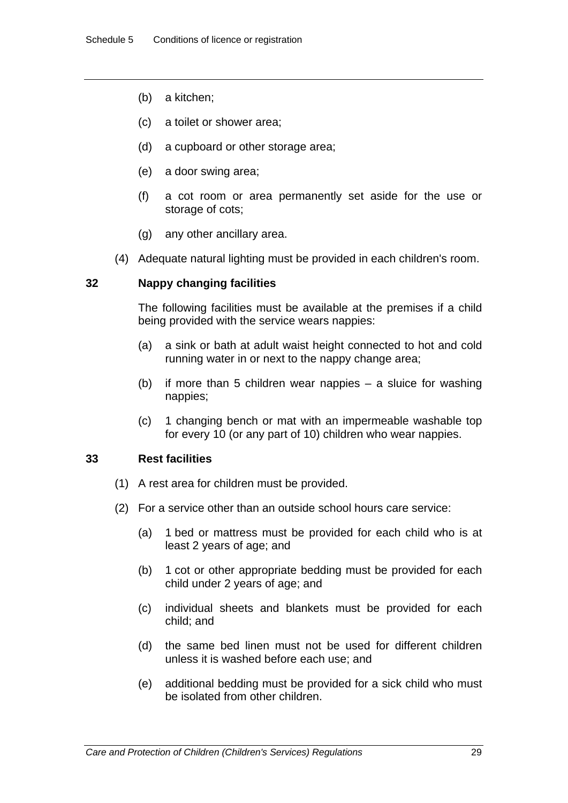- (b) a kitchen;
- (c) a toilet or shower area;
- (d) a cupboard or other storage area;
- (e) a door swing area;
- (f) a cot room or area permanently set aside for the use or storage of cots;
- (g) any other ancillary area.
- (4) Adequate natural lighting must be provided in each children's room.

### **32 Nappy changing facilities**

The following facilities must be available at the premises if a child being provided with the service wears nappies:

- (a) a sink or bath at adult waist height connected to hot and cold running water in or next to the nappy change area;
- (b) if more than 5 children wear nappies a sluice for washing nappies;
- (c) 1 changing bench or mat with an impermeable washable top for every 10 (or any part of 10) children who wear nappies.

#### **33 Rest facilities**

- (1) A rest area for children must be provided.
- (2) For a service other than an outside school hours care service:
	- (a) 1 bed or mattress must be provided for each child who is at least 2 years of age; and
	- (b) 1 cot or other appropriate bedding must be provided for each child under 2 years of age; and
	- (c) individual sheets and blankets must be provided for each child; and
	- (d) the same bed linen must not be used for different children unless it is washed before each use; and
	- (e) additional bedding must be provided for a sick child who must be isolated from other children.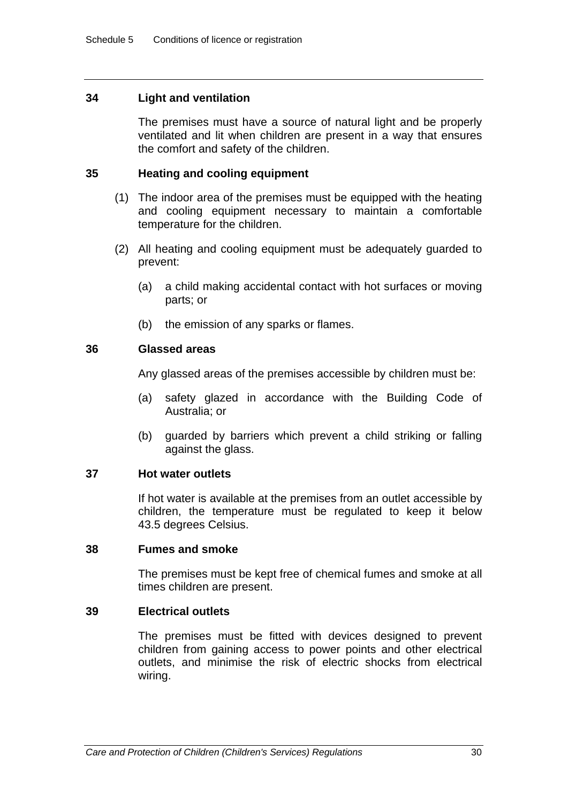### **34 Light and ventilation**

The premises must have a source of natural light and be properly ventilated and lit when children are present in a way that ensures the comfort and safety of the children.

### **35 Heating and cooling equipment**

- (1) The indoor area of the premises must be equipped with the heating and cooling equipment necessary to maintain a comfortable temperature for the children.
- (2) All heating and cooling equipment must be adequately guarded to prevent:
	- (a) a child making accidental contact with hot surfaces or moving parts; or
	- (b) the emission of any sparks or flames.

### **36 Glassed areas**

Any glassed areas of the premises accessible by children must be:

- (a) safety glazed in accordance with the Building Code of Australia; or
- (b) guarded by barriers which prevent a child striking or falling against the glass.

#### **37 Hot water outlets**

If hot water is available at the premises from an outlet accessible by children, the temperature must be regulated to keep it below 43.5 degrees Celsius.

#### **38 Fumes and smoke**

The premises must be kept free of chemical fumes and smoke at all times children are present.

#### **39 Electrical outlets**

The premises must be fitted with devices designed to prevent children from gaining access to power points and other electrical outlets, and minimise the risk of electric shocks from electrical wiring.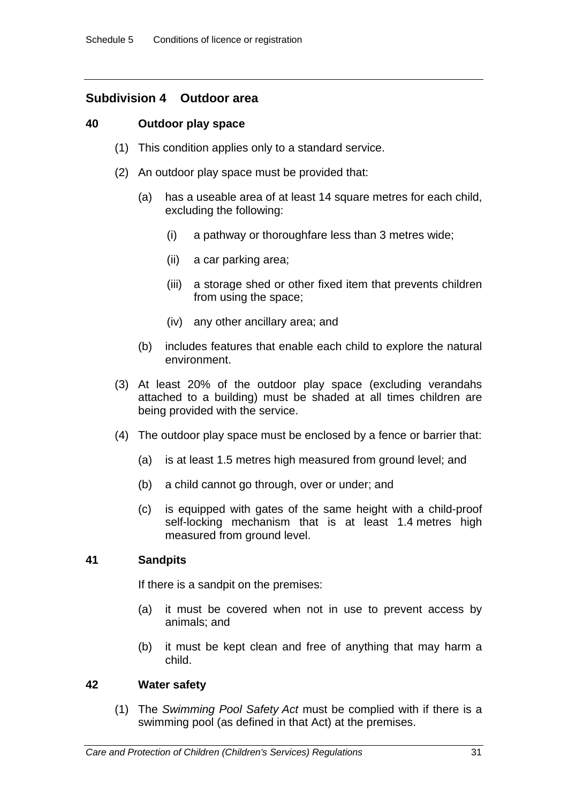# **Subdivision 4 Outdoor area**

### **40 Outdoor play space**

- (1) This condition applies only to a standard service.
- (2) An outdoor play space must be provided that:
	- (a) has a useable area of at least 14 square metres for each child, excluding the following:
		- (i) a pathway or thoroughfare less than 3 metres wide;
		- (ii) a car parking area;
		- (iii) a storage shed or other fixed item that prevents children from using the space;
		- (iv) any other ancillary area; and
	- (b) includes features that enable each child to explore the natural environment.
- (3) At least 20% of the outdoor play space (excluding verandahs attached to a building) must be shaded at all times children are being provided with the service.
- (4) The outdoor play space must be enclosed by a fence or barrier that:
	- (a) is at least 1.5 metres high measured from ground level; and
	- (b) a child cannot go through, over or under; and
	- (c) is equipped with gates of the same height with a child-proof self-locking mechanism that is at least 1.4 metres high measured from ground level.

### **41 Sandpits**

If there is a sandpit on the premises:

- (a) it must be covered when not in use to prevent access by animals; and
- (b) it must be kept clean and free of anything that may harm a child.

### **42 Water safety**

 (1) The *Swimming Pool Safety Act* must be complied with if there is a swimming pool (as defined in that Act) at the premises.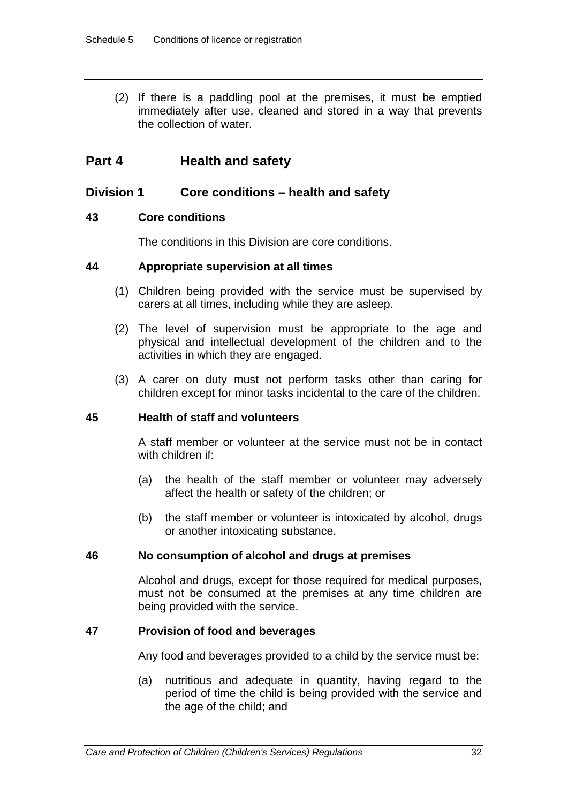(2) If there is a paddling pool at the premises, it must be emptied immediately after use, cleaned and stored in a way that prevents the collection of water.

# **Part 4 Health and safety**

### **Division 1 Core conditions – health and safety**

### **43 Core conditions**

The conditions in this Division are core conditions.

### **44 Appropriate supervision at all times**

- (1) Children being provided with the service must be supervised by carers at all times, including while they are asleep.
- (2) The level of supervision must be appropriate to the age and physical and intellectual development of the children and to the activities in which they are engaged.
- (3) A carer on duty must not perform tasks other than caring for children except for minor tasks incidental to the care of the children.

#### **45 Health of staff and volunteers**

A staff member or volunteer at the service must not be in contact with children if:

- (a) the health of the staff member or volunteer may adversely affect the health or safety of the children; or
- (b) the staff member or volunteer is intoxicated by alcohol, drugs or another intoxicating substance.

### **46 No consumption of alcohol and drugs at premises**

Alcohol and drugs, except for those required for medical purposes, must not be consumed at the premises at any time children are being provided with the service.

### **47 Provision of food and beverages**

Any food and beverages provided to a child by the service must be:

(a) nutritious and adequate in quantity, having regard to the period of time the child is being provided with the service and the age of the child; and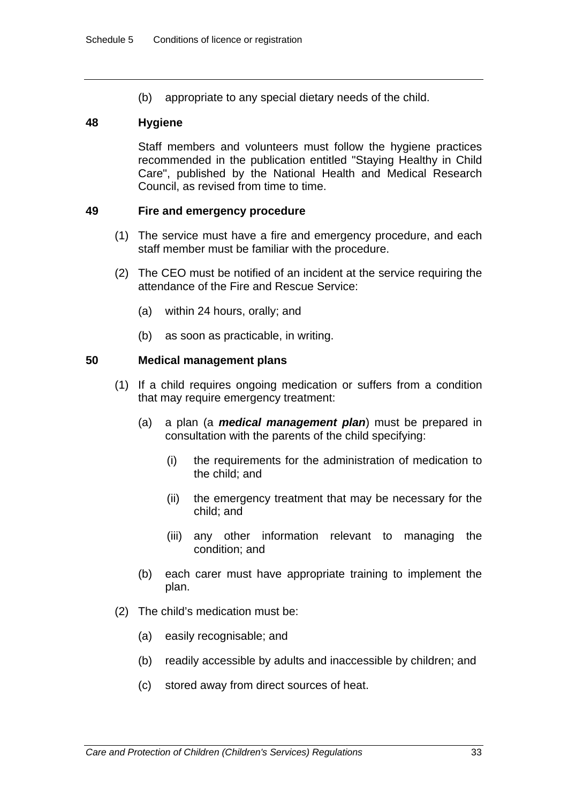(b) appropriate to any special dietary needs of the child.

### **48 Hygiene**

Staff members and volunteers must follow the hygiene practices recommended in the publication entitled "Staying Healthy in Child Care", published by the National Health and Medical Research Council, as revised from time to time.

#### **49 Fire and emergency procedure**

- (1) The service must have a fire and emergency procedure, and each staff member must be familiar with the procedure.
- (2) The CEO must be notified of an incident at the service requiring the attendance of the Fire and Rescue Service:
	- (a) within 24 hours, orally; and
	- (b) as soon as practicable, in writing.

#### **50 Medical management plans**

- (1) If a child requires ongoing medication or suffers from a condition that may require emergency treatment:
	- (a) a plan (a *medical management plan*) must be prepared in consultation with the parents of the child specifying:
		- (i) the requirements for the administration of medication to the child; and
		- (ii) the emergency treatment that may be necessary for the child; and
		- (iii) any other information relevant to managing the condition; and
	- (b) each carer must have appropriate training to implement the plan.
- (2) The child's medication must be:
	- (a) easily recognisable; and
	- (b) readily accessible by adults and inaccessible by children; and
	- (c) stored away from direct sources of heat.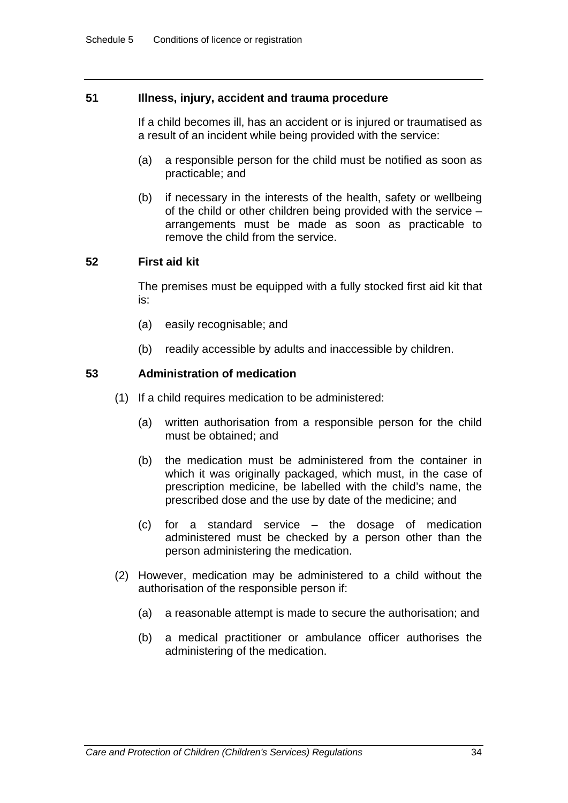### **51 Illness, injury, accident and trauma procedure**

If a child becomes ill, has an accident or is injured or traumatised as a result of an incident while being provided with the service:

- (a) a responsible person for the child must be notified as soon as practicable; and
- (b) if necessary in the interests of the health, safety or wellbeing of the child or other children being provided with the service – arrangements must be made as soon as practicable to remove the child from the service.

### **52 First aid kit**

The premises must be equipped with a fully stocked first aid kit that is:

- (a) easily recognisable; and
- (b) readily accessible by adults and inaccessible by children.

### **53 Administration of medication**

- (1) If a child requires medication to be administered:
	- (a) written authorisation from a responsible person for the child must be obtained; and
	- (b) the medication must be administered from the container in which it was originally packaged, which must, in the case of prescription medicine, be labelled with the child's name, the prescribed dose and the use by date of the medicine; and
	- (c) for a standard service the dosage of medication administered must be checked by a person other than the person administering the medication.
- (2) However, medication may be administered to a child without the authorisation of the responsible person if:
	- (a) a reasonable attempt is made to secure the authorisation; and
	- (b) a medical practitioner or ambulance officer authorises the administering of the medication.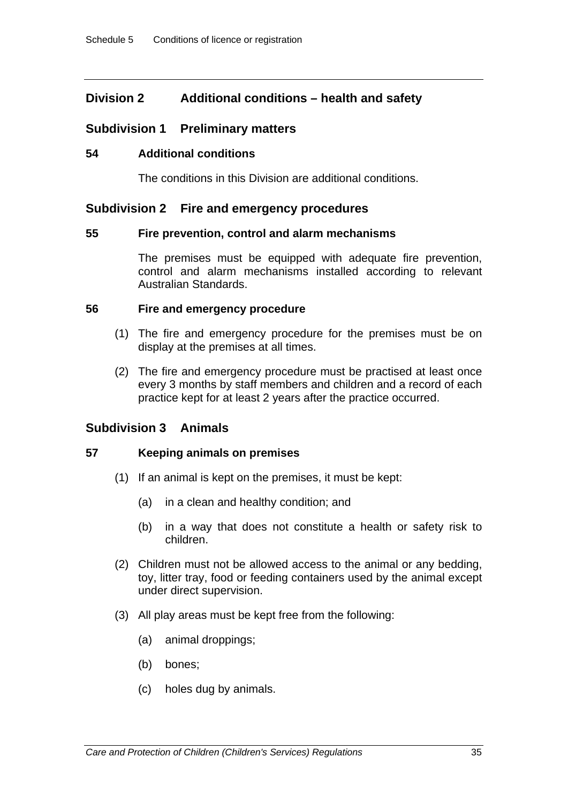# **Division 2 Additional conditions – health and safety**

### **Subdivision 1 Preliminary matters**

### **54 Additional conditions**

The conditions in this Division are additional conditions.

### **Subdivision 2 Fire and emergency procedures**

### **55 Fire prevention, control and alarm mechanisms**

The premises must be equipped with adequate fire prevention, control and alarm mechanisms installed according to relevant Australian Standards.

### **56 Fire and emergency procedure**

- (1) The fire and emergency procedure for the premises must be on display at the premises at all times.
- (2) The fire and emergency procedure must be practised at least once every 3 months by staff members and children and a record of each practice kept for at least 2 years after the practice occurred.

### **Subdivision 3 Animals**

### **57 Keeping animals on premises**

- (1) If an animal is kept on the premises, it must be kept:
	- (a) in a clean and healthy condition; and
	- (b) in a way that does not constitute a health or safety risk to children.
- (2) Children must not be allowed access to the animal or any bedding, toy, litter tray, food or feeding containers used by the animal except under direct supervision.
- (3) All play areas must be kept free from the following:
	- (a) animal droppings;
	- (b) bones;
	- (c) holes dug by animals.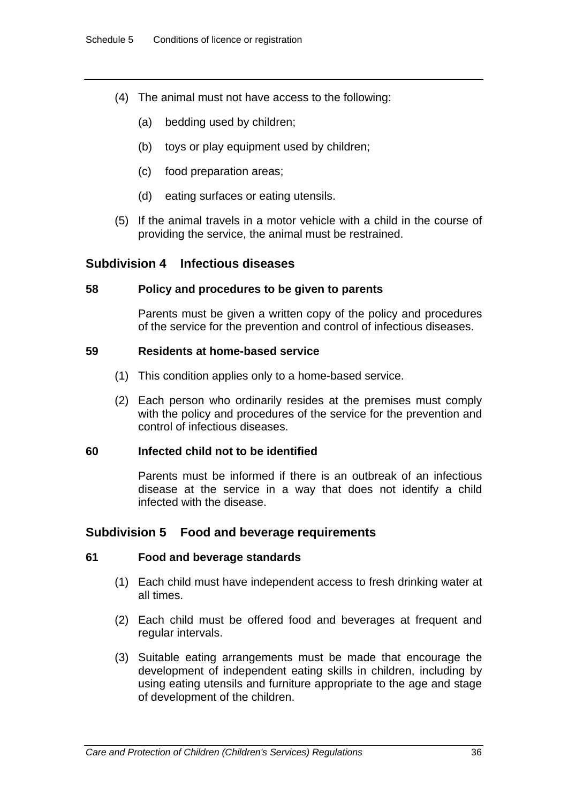- (4) The animal must not have access to the following:
	- (a) bedding used by children;
	- (b) toys or play equipment used by children;
	- (c) food preparation areas;
	- (d) eating surfaces or eating utensils.
- (5) If the animal travels in a motor vehicle with a child in the course of providing the service, the animal must be restrained.

### **Subdivision 4 Infectious diseases**

### **58 Policy and procedures to be given to parents**

Parents must be given a written copy of the policy and procedures of the service for the prevention and control of infectious diseases.

### **59 Residents at home-based service**

- (1) This condition applies only to a home-based service.
- (2) Each person who ordinarily resides at the premises must comply with the policy and procedures of the service for the prevention and control of infectious diseases.

### **60 Infected child not to be identified**

Parents must be informed if there is an outbreak of an infectious disease at the service in a way that does not identify a child infected with the disease.

# **Subdivision 5 Food and beverage requirements**

#### **61 Food and beverage standards**

- (1) Each child must have independent access to fresh drinking water at all times.
- (2) Each child must be offered food and beverages at frequent and regular intervals.
- (3) Suitable eating arrangements must be made that encourage the development of independent eating skills in children, including by using eating utensils and furniture appropriate to the age and stage of development of the children.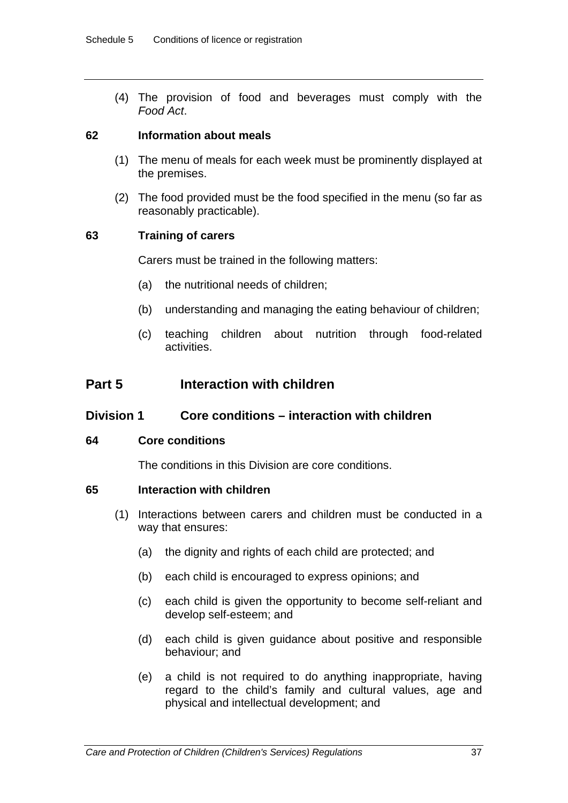(4) The provision of food and beverages must comply with the *Food Act*.

### **62 Information about meals**

- (1) The menu of meals for each week must be prominently displayed at the premises.
- (2) The food provided must be the food specified in the menu (so far as reasonably practicable).

### **63 Training of carers**

Carers must be trained in the following matters:

- (a) the nutritional needs of children;
- (b) understanding and managing the eating behaviour of children;
- (c) teaching children about nutrition through food-related activities.

# **Part 5 Interaction with children**

### **Division 1 Core conditions – interaction with children**

#### **64 Core conditions**

The conditions in this Division are core conditions.

### **65 Interaction with children**

- (1) Interactions between carers and children must be conducted in a way that ensures:
	- (a) the dignity and rights of each child are protected; and
	- (b) each child is encouraged to express opinions; and
	- (c) each child is given the opportunity to become self-reliant and develop self-esteem; and
	- (d) each child is given guidance about positive and responsible behaviour; and
	- (e) a child is not required to do anything inappropriate, having regard to the child's family and cultural values, age and physical and intellectual development; and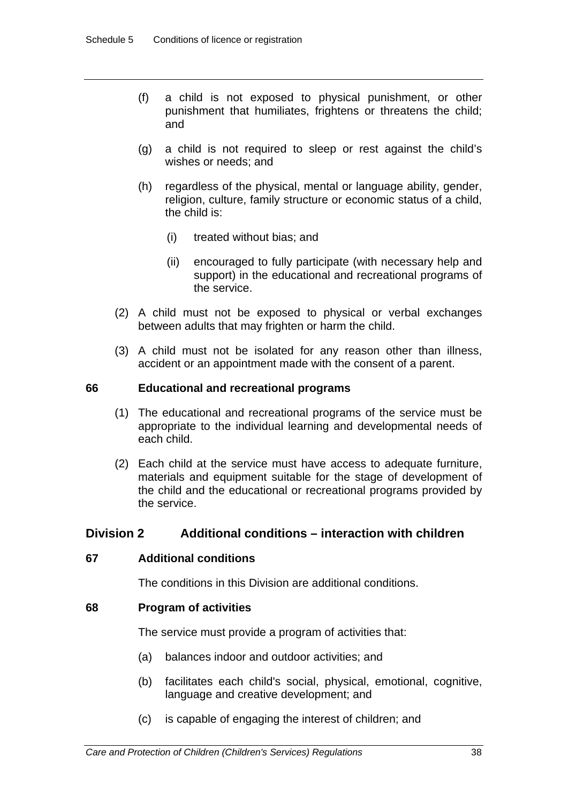- (f) a child is not exposed to physical punishment, or other punishment that humiliates, frightens or threatens the child; and
- (g) a child is not required to sleep or rest against the child's wishes or needs; and
- (h) regardless of the physical, mental or language ability, gender, religion, culture, family structure or economic status of a child, the child is:
	- (i) treated without bias; and
	- (ii) encouraged to fully participate (with necessary help and support) in the educational and recreational programs of the service.
- (2) A child must not be exposed to physical or verbal exchanges between adults that may frighten or harm the child.
- (3) A child must not be isolated for any reason other than illness, accident or an appointment made with the consent of a parent.

### **66 Educational and recreational programs**

- (1) The educational and recreational programs of the service must be appropriate to the individual learning and developmental needs of each child.
- (2) Each child at the service must have access to adequate furniture, materials and equipment suitable for the stage of development of the child and the educational or recreational programs provided by the service.

# **Division 2 Additional conditions – interaction with children**

### **67 Additional conditions**

The conditions in this Division are additional conditions.

### **68 Program of activities**

The service must provide a program of activities that:

- (a) balances indoor and outdoor activities; and
- (b) facilitates each child's social, physical, emotional, cognitive, language and creative development; and
- (c) is capable of engaging the interest of children; and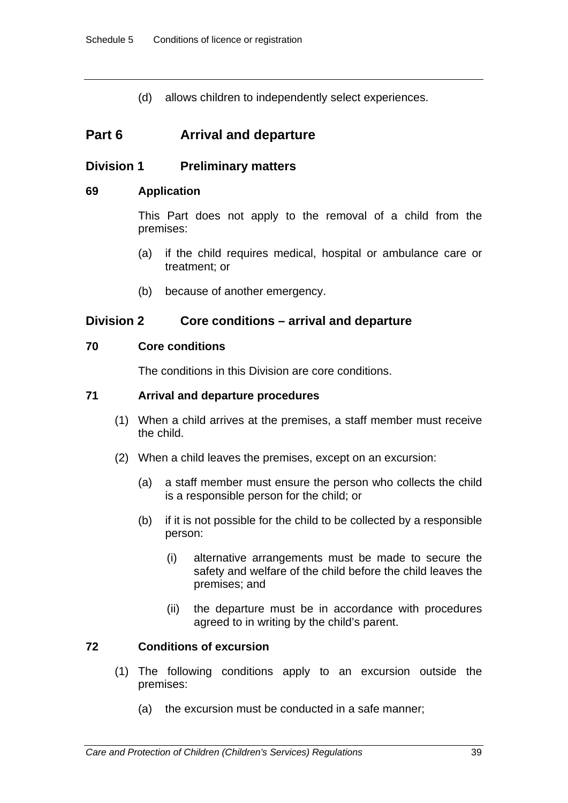(d) allows children to independently select experiences.

# **Part 6 Arrival and departure**

# **Division 1 Preliminary matters**

### **69 Application**

This Part does not apply to the removal of a child from the premises:

- (a) if the child requires medical, hospital or ambulance care or treatment; or
- (b) because of another emergency.

# **Division 2 Core conditions – arrival and departure**

### **70 Core conditions**

The conditions in this Division are core conditions.

### **71 Arrival and departure procedures**

- (1) When a child arrives at the premises, a staff member must receive the child.
- (2) When a child leaves the premises, except on an excursion:
	- (a) a staff member must ensure the person who collects the child is a responsible person for the child; or
	- (b) if it is not possible for the child to be collected by a responsible person:
		- (i) alternative arrangements must be made to secure the safety and welfare of the child before the child leaves the premises; and
		- (ii) the departure must be in accordance with procedures agreed to in writing by the child's parent.

# **72 Conditions of excursion**

- (1) The following conditions apply to an excursion outside the premises:
	- (a) the excursion must be conducted in a safe manner;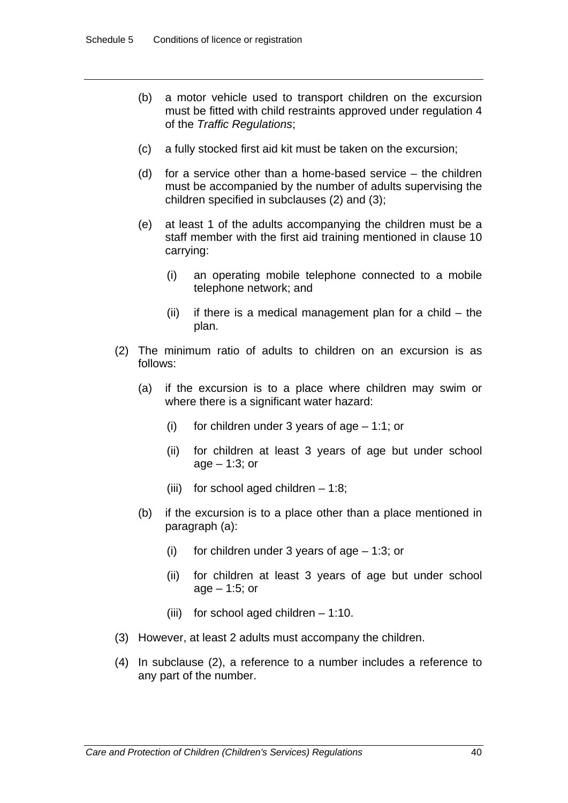- (b) a motor vehicle used to transport children on the excursion must be fitted with child restraints approved under regulation 4 of the *Traffic Regulations*;
- (c) a fully stocked first aid kit must be taken on the excursion;
- (d) for a service other than a home-based service the children must be accompanied by the number of adults supervising the children specified in subclauses (2) and (3);
- (e) at least 1 of the adults accompanying the children must be a staff member with the first aid training mentioned in clause 10 carrying:
	- (i) an operating mobile telephone connected to a mobile telephone network; and
	- $(ii)$  if there is a medical management plan for a child  $-$  the plan.
- (2) The minimum ratio of adults to children on an excursion is as follows:
	- (a) if the excursion is to a place where children may swim or where there is a significant water hazard:
		- (i) for children under 3 years of age  $-1:1$ ; or
		- (ii) for children at least 3 years of age but under school age – 1:3; or
		- (iii) for school aged children  $-1:8$ ;
	- (b) if the excursion is to a place other than a place mentioned in paragraph (a):
		- (i) for children under 3 years of age 1:3; or
		- (ii) for children at least 3 years of age but under school age – 1:5; or
		- (iii) for school aged children 1:10.
- (3) However, at least 2 adults must accompany the children.
- (4) In subclause (2), a reference to a number includes a reference to any part of the number.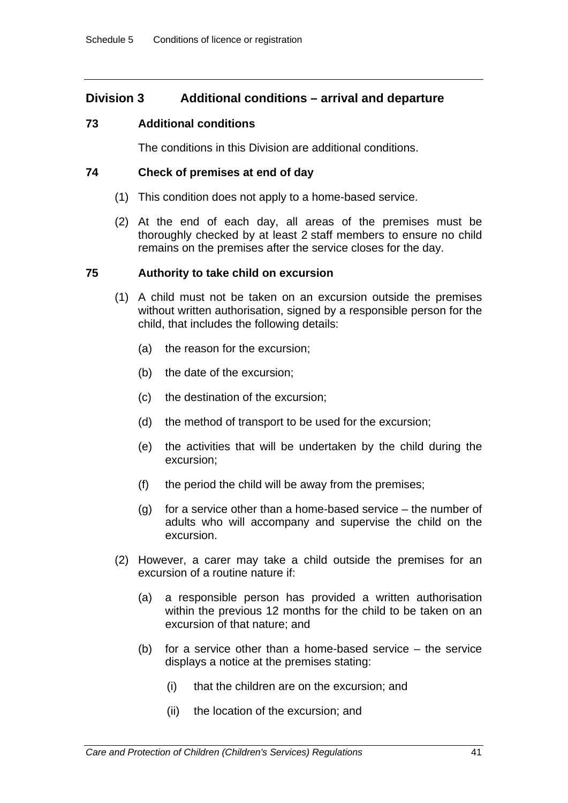# **Division 3 Additional conditions – arrival and departure**

### **73 Additional conditions**

The conditions in this Division are additional conditions.

### **74 Check of premises at end of day**

- (1) This condition does not apply to a home-based service.
- (2) At the end of each day, all areas of the premises must be thoroughly checked by at least 2 staff members to ensure no child remains on the premises after the service closes for the day.

### **75 Authority to take child on excursion**

- (1) A child must not be taken on an excursion outside the premises without written authorisation, signed by a responsible person for the child, that includes the following details:
	- (a) the reason for the excursion;
	- (b) the date of the excursion;
	- (c) the destination of the excursion;
	- (d) the method of transport to be used for the excursion;
	- (e) the activities that will be undertaken by the child during the excursion;
	- (f) the period the child will be away from the premises;
	- (g) for a service other than a home-based service the number of adults who will accompany and supervise the child on the excursion.
- (2) However, a carer may take a child outside the premises for an excursion of a routine nature if:
	- (a) a responsible person has provided a written authorisation within the previous 12 months for the child to be taken on an excursion of that nature; and
	- (b) for a service other than a home-based service the service displays a notice at the premises stating:
		- (i) that the children are on the excursion; and
		- (ii) the location of the excursion; and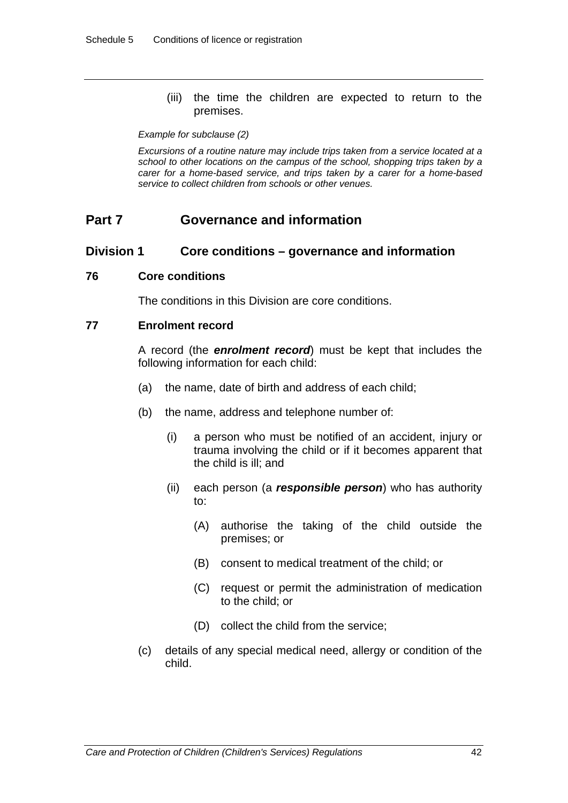(iii) the time the children are expected to return to the premises.

#### *Example for subclause (2)*

*Excursions of a routine nature may include trips taken from a service located at a school to other locations on the campus of the school, shopping trips taken by a carer for a home-based service, and trips taken by a carer for a home-based service to collect children from schools or other venues.* 

# **Part 7 Governance and information**

#### **Division 1 Core conditions – governance and information**

#### **76 Core conditions**

The conditions in this Division are core conditions.

#### **77 Enrolment record**

A record (the *enrolment record*) must be kept that includes the following information for each child:

- (a) the name, date of birth and address of each child;
- (b) the name, address and telephone number of:
	- (i) a person who must be notified of an accident, injury or trauma involving the child or if it becomes apparent that the child is ill; and
	- (ii) each person (a *responsible person*) who has authority to:
		- (A) authorise the taking of the child outside the premises; or
		- (B) consent to medical treatment of the child; or
		- (C) request or permit the administration of medication to the child; or
		- (D) collect the child from the service;
- (c) details of any special medical need, allergy or condition of the child.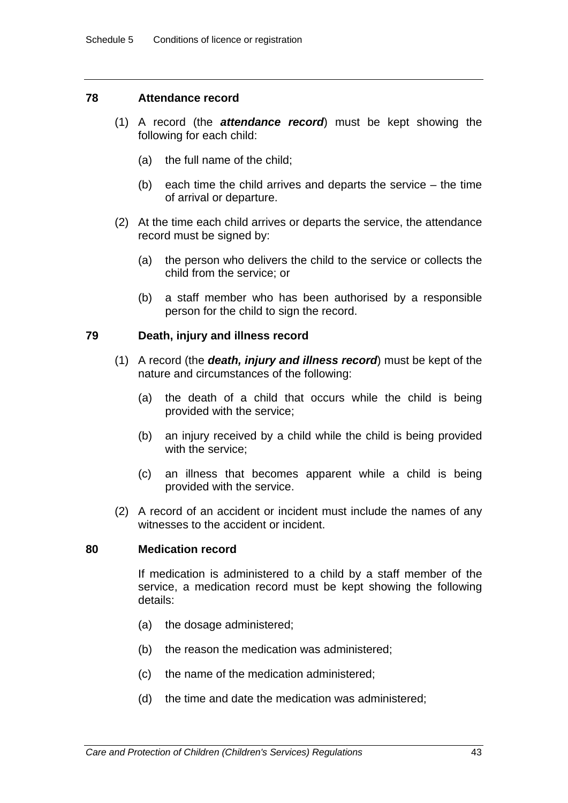### **78 Attendance record**

- (1) A record (the *attendance record*) must be kept showing the following for each child:
	- (a) the full name of the child;
	- (b) each time the child arrives and departs the service the time of arrival or departure.
- (2) At the time each child arrives or departs the service, the attendance record must be signed by:
	- (a) the person who delivers the child to the service or collects the child from the service; or
	- (b) a staff member who has been authorised by a responsible person for the child to sign the record.

### **79 Death, injury and illness record**

- (1) A record (the *death, injury and illness record*) must be kept of the nature and circumstances of the following:
	- (a) the death of a child that occurs while the child is being provided with the service;
	- (b) an injury received by a child while the child is being provided with the service;
	- (c) an illness that becomes apparent while a child is being provided with the service.
- (2) A record of an accident or incident must include the names of any witnesses to the accident or incident.

#### **80 Medication record**

If medication is administered to a child by a staff member of the service, a medication record must be kept showing the following details:

- (a) the dosage administered;
- (b) the reason the medication was administered;
- (c) the name of the medication administered;
- (d) the time and date the medication was administered;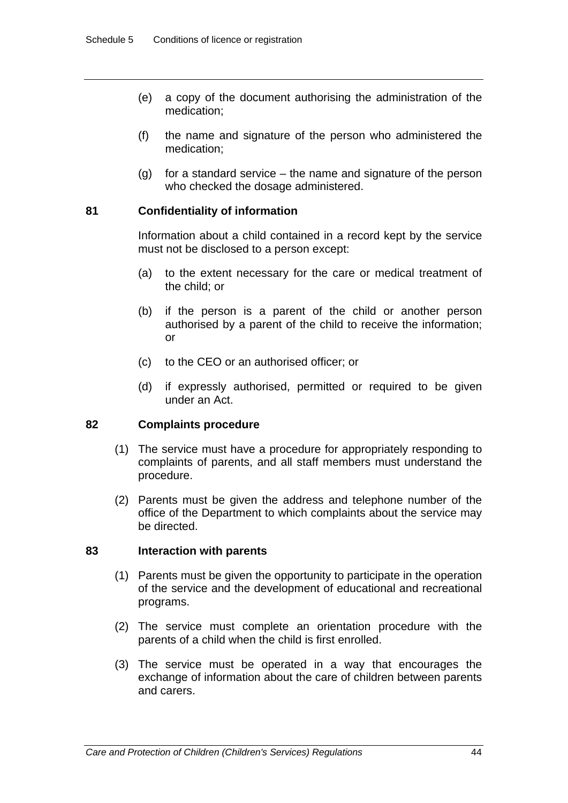- (e) a copy of the document authorising the administration of the medication;
- (f) the name and signature of the person who administered the medication;
- (g) for a standard service the name and signature of the person who checked the dosage administered.

### **81 Confidentiality of information**

Information about a child contained in a record kept by the service must not be disclosed to a person except:

- (a) to the extent necessary for the care or medical treatment of the child; or
- (b) if the person is a parent of the child or another person authorised by a parent of the child to receive the information; or
- (c) to the CEO or an authorised officer; or
- (d) if expressly authorised, permitted or required to be given under an Act.

### **82 Complaints procedure**

- (1) The service must have a procedure for appropriately responding to complaints of parents, and all staff members must understand the procedure.
- (2) Parents must be given the address and telephone number of the office of the Department to which complaints about the service may be directed.

### **83 Interaction with parents**

- (1) Parents must be given the opportunity to participate in the operation of the service and the development of educational and recreational programs.
- (2) The service must complete an orientation procedure with the parents of a child when the child is first enrolled.
- (3) The service must be operated in a way that encourages the exchange of information about the care of children between parents and carers.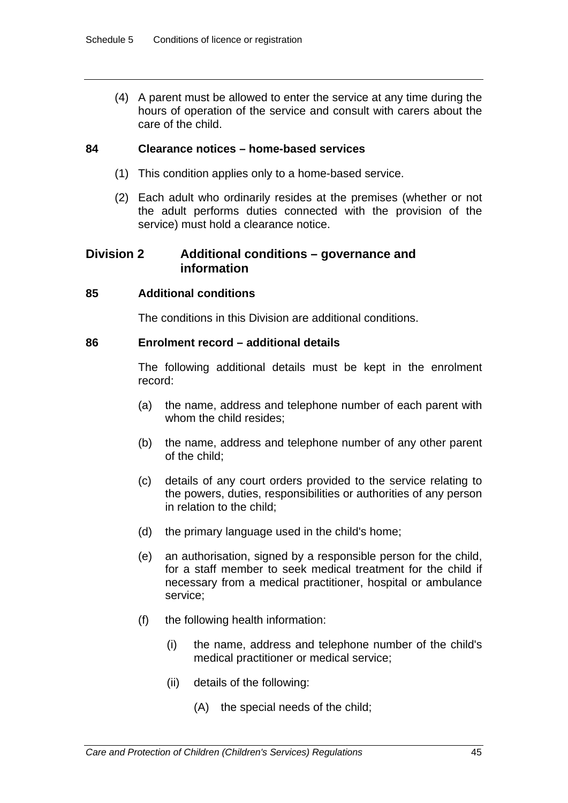(4) A parent must be allowed to enter the service at any time during the hours of operation of the service and consult with carers about the care of the child.

### **84 Clearance notices – home-based services**

- (1) This condition applies only to a home-based service.
- (2) Each adult who ordinarily resides at the premises (whether or not the adult performs duties connected with the provision of the service) must hold a clearance notice.

# **Division 2 Additional conditions – governance and information**

### **85 Additional conditions**

The conditions in this Division are additional conditions.

### **86 Enrolment record – additional details**

The following additional details must be kept in the enrolment record:

- (a) the name, address and telephone number of each parent with whom the child resides;
- (b) the name, address and telephone number of any other parent of the child;
- (c) details of any court orders provided to the service relating to the powers, duties, responsibilities or authorities of any person in relation to the child;
- (d) the primary language used in the child's home;
- (e) an authorisation, signed by a responsible person for the child, for a staff member to seek medical treatment for the child if necessary from a medical practitioner, hospital or ambulance service;
- (f) the following health information:
	- (i) the name, address and telephone number of the child's medical practitioner or medical service;
	- (ii) details of the following:
		- (A) the special needs of the child;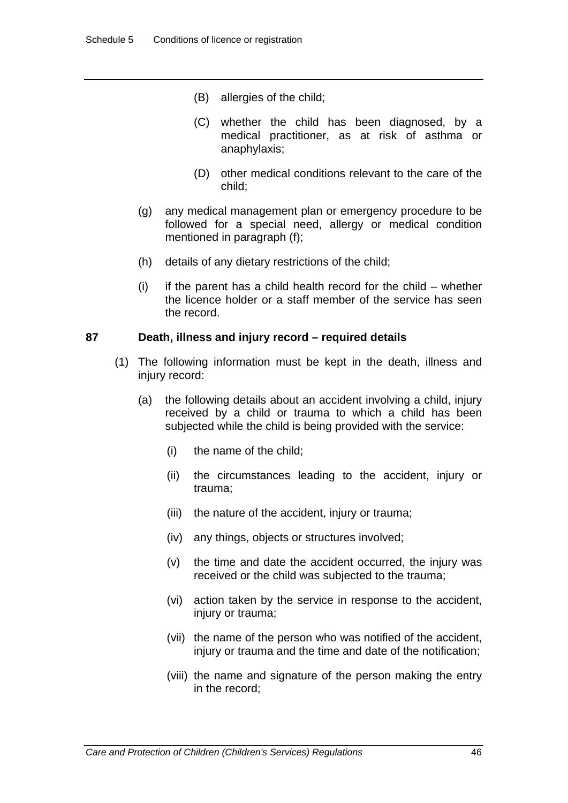- (B) allergies of the child;
- (C) whether the child has been diagnosed, by a medical practitioner, as at risk of asthma or anaphylaxis;
- (D) other medical conditions relevant to the care of the child;
- (g) any medical management plan or emergency procedure to be followed for a special need, allergy or medical condition mentioned in paragraph (f);
- (h) details of any dietary restrictions of the child;
- (i) if the parent has a child health record for the child whether the licence holder or a staff member of the service has seen the record.

### **87 Death, illness and injury record – required details**

- (1) The following information must be kept in the death, illness and injury record:
	- (a) the following details about an accident involving a child, injury received by a child or trauma to which a child has been subjected while the child is being provided with the service:
		- (i) the name of the child;
		- (ii) the circumstances leading to the accident, injury or trauma;
		- (iii) the nature of the accident, injury or trauma;
		- (iv) any things, objects or structures involved;
		- (v) the time and date the accident occurred, the injury was received or the child was subjected to the trauma;
		- (vi) action taken by the service in response to the accident, injury or trauma;
		- (vii) the name of the person who was notified of the accident, injury or trauma and the time and date of the notification;
		- (viii) the name and signature of the person making the entry in the record;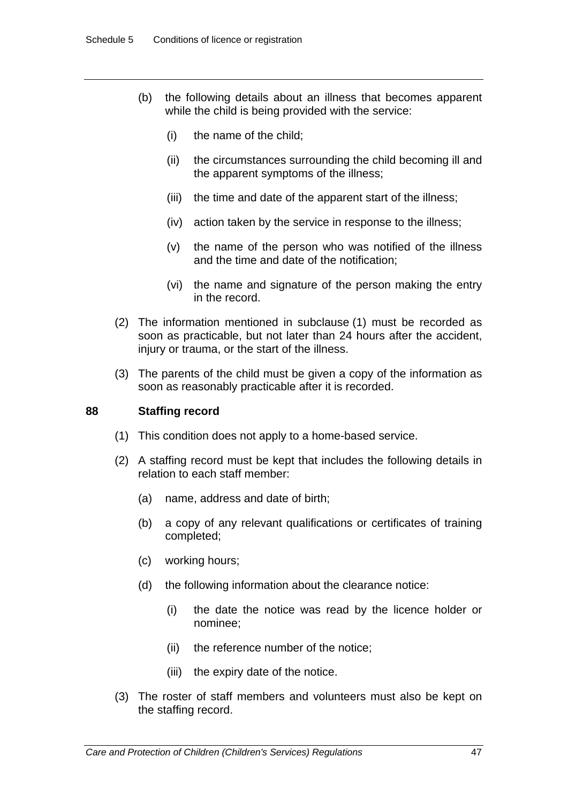- (b) the following details about an illness that becomes apparent while the child is being provided with the service:
	- (i) the name of the child;
	- (ii) the circumstances surrounding the child becoming ill and the apparent symptoms of the illness;
	- (iii) the time and date of the apparent start of the illness;
	- (iv) action taken by the service in response to the illness;
	- (v) the name of the person who was notified of the illness and the time and date of the notification;
	- (vi) the name and signature of the person making the entry in the record.
- (2) The information mentioned in subclause (1) must be recorded as soon as practicable, but not later than 24 hours after the accident, injury or trauma, or the start of the illness.
- (3) The parents of the child must be given a copy of the information as soon as reasonably practicable after it is recorded.

### **88 Staffing record**

- (1) This condition does not apply to a home-based service.
- (2) A staffing record must be kept that includes the following details in relation to each staff member:
	- (a) name, address and date of birth;
	- (b) a copy of any relevant qualifications or certificates of training completed;
	- (c) working hours;
	- (d) the following information about the clearance notice:
		- (i) the date the notice was read by the licence holder or nominee;
		- (ii) the reference number of the notice;
		- (iii) the expiry date of the notice.
- (3) The roster of staff members and volunteers must also be kept on the staffing record.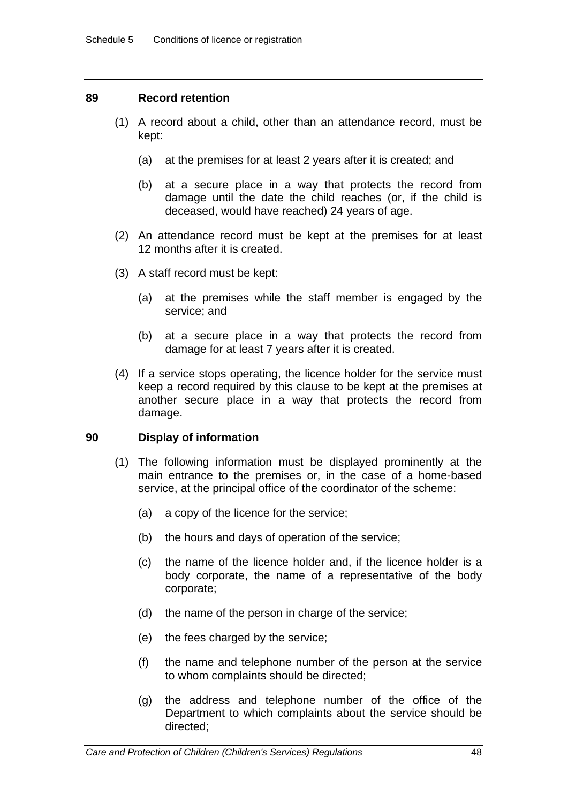### **89 Record retention**

- (1) A record about a child, other than an attendance record, must be kept:
	- (a) at the premises for at least 2 years after it is created; and
	- (b) at a secure place in a way that protects the record from damage until the date the child reaches (or, if the child is deceased, would have reached) 24 years of age.
- (2) An attendance record must be kept at the premises for at least 12 months after it is created.
- (3) A staff record must be kept:
	- (a) at the premises while the staff member is engaged by the service; and
	- (b) at a secure place in a way that protects the record from damage for at least 7 years after it is created.
- (4) If a service stops operating, the licence holder for the service must keep a record required by this clause to be kept at the premises at another secure place in a way that protects the record from damage.

### **90 Display of information**

- (1) The following information must be displayed prominently at the main entrance to the premises or, in the case of a home-based service, at the principal office of the coordinator of the scheme:
	- (a) a copy of the licence for the service;
	- (b) the hours and days of operation of the service;
	- (c) the name of the licence holder and, if the licence holder is a body corporate, the name of a representative of the body corporate;
	- (d) the name of the person in charge of the service;
	- (e) the fees charged by the service;
	- (f) the name and telephone number of the person at the service to whom complaints should be directed;
	- (g) the address and telephone number of the office of the Department to which complaints about the service should be directed;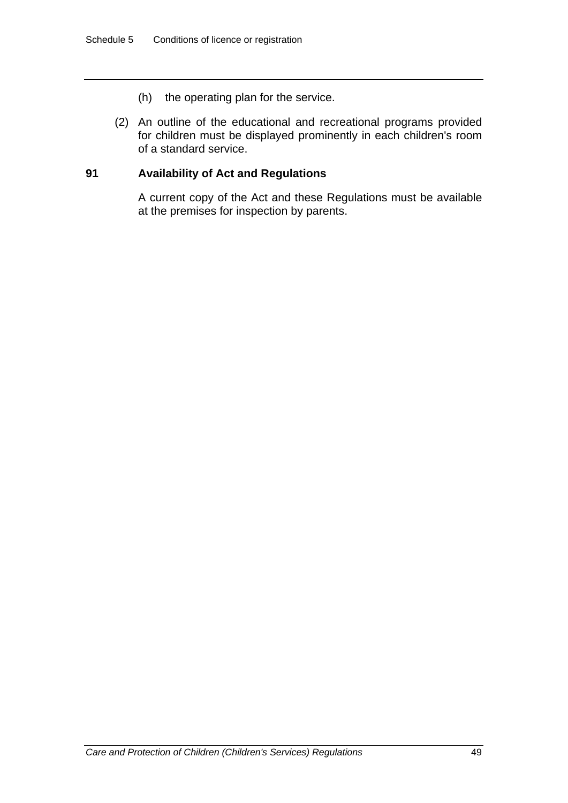- (h) the operating plan for the service.
- (2) An outline of the educational and recreational programs provided for children must be displayed prominently in each children's room of a standard service.

### **91 Availability of Act and Regulations**

A current copy of the Act and these Regulations must be available at the premises for inspection by parents.